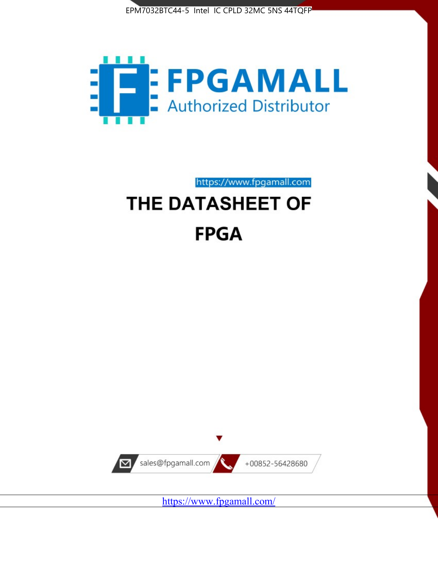



https://www.fpgamall.com THE DATASHEET OF

# **FPGA**



<https://www.fpgamall.com/>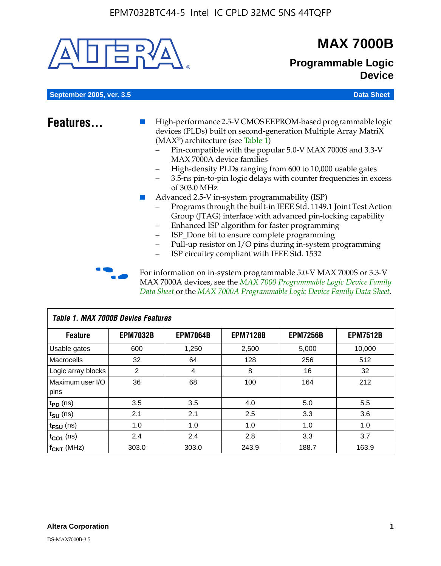

# **MAX 7000B**

### **Programmable Logic Device**

**September 2005, ver. 3.5 Data Sheet** Construction of the Construction of the Construction of the Data Sheet

- **Features...** High-performance 2.5-V CMOS EEPROM-based programmable logic devices (PLDs) built on second-generation Multiple Array MatriX (MAX®) architecture (see Table 1)
	- Pin-compatible with the popular 5.0-V MAX 7000S and 3.3-V MAX 7000A device families
	- High-density PLDs ranging from 600 to 10,000 usable gates
	- 3.5-ns pin-to-pin logic delays with counter frequencies in excess of 303.0 MHz
	- Advanced 2.5-V in-system programmability (ISP)
	- Programs through the built-in IEEE Std. 1149.1 Joint Test Action Group (JTAG) interface with advanced pin-locking capability
	- Enhanced ISP algorithm for faster programming
	- ISP\_Done bit to ensure complete programming
	- Pull-up resistor on I/O pins during in-system programming
	- ISP circuitry compliant with IEEE Std. 1532

For information on in-system programmable 5.0-V MAX 7000S or 3.3-V MAX 7000A devices, see the *MAX 7000 Programmable Logic Device Family Data Sheet* or the *MAX 7000A Programmable Logic Device Family Data Sheet*.

| Table 1. MAX 7000B Device Features |                 |                 |                 |                 |                 |  |  |
|------------------------------------|-----------------|-----------------|-----------------|-----------------|-----------------|--|--|
| <b>Feature</b>                     | <b>EPM7032B</b> | <b>EPM7064B</b> | <b>EPM7128B</b> | <b>EPM7256B</b> | <b>EPM7512B</b> |  |  |
| Usable gates                       | 600             | 1,250           | 2,500           | 5,000           | 10,000          |  |  |
| <b>Macrocells</b>                  | 32              | 64              | 128             | 256             | 512             |  |  |
| Logic array blocks                 | 2               | 4               | 8               | 16              | 32              |  |  |
| Maximum user I/O                   | 36              | 68              | 100             | 164             | 212             |  |  |
| pins                               |                 |                 |                 |                 |                 |  |  |
| $t_{PD}$ (ns)                      | 3.5             | 3.5             | 4.0             | 5.0             | 5.5             |  |  |
| $t_{\text{SU}}$ (ns)               | 2.1             | 2.1             | 2.5             | 3.3             | 3.6             |  |  |
| $t_{\text{FSU}}$ (ns)              | 1.0             | 1.0             | 1.0             | 1.0             | 1.0             |  |  |
| $t_{CO1}$ (ns)                     | 2.4             | 2.4             | 2.8             | 3.3             | 3.7             |  |  |
| f <sub>CNT</sub> (MHz)             | 303.0           | 303.0           | 243.9           | 188.7           | 163.9           |  |  |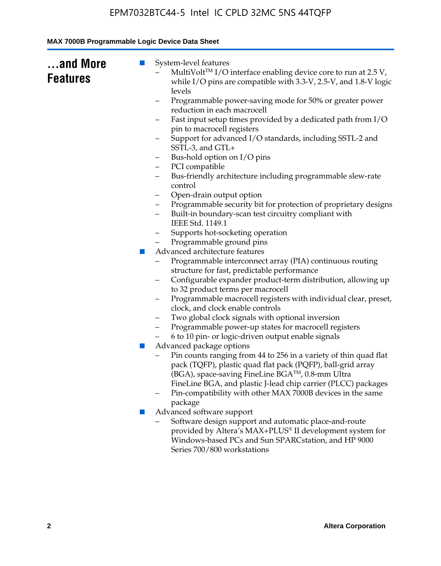| and More<br>$\mathbb{Z}$<br><b>Features</b> | System-level features<br>MultiVolt™ I/O interface enabling device core to run at 2.5 V,                                                                                                          |
|---------------------------------------------|--------------------------------------------------------------------------------------------------------------------------------------------------------------------------------------------------|
|                                             | while I/O pins are compatible with 3.3-V, 2.5-V, and 1.8-V logic<br>levels                                                                                                                       |
|                                             | Programmable power-saving mode for 50% or greater power<br>-                                                                                                                                     |
|                                             | reduction in each macrocell                                                                                                                                                                      |
|                                             | Fast input setup times provided by a dedicated path from I/O<br>-<br>pin to macrocell registers                                                                                                  |
|                                             | Support for advanced I/O standards, including SSTL-2 and<br>SSTL-3, and GTL+                                                                                                                     |
|                                             | Bus-hold option on I/O pins<br>-                                                                                                                                                                 |
|                                             | PCI compatible<br>-                                                                                                                                                                              |
|                                             | Bus-friendly architecture including programmable slew-rate<br>control                                                                                                                            |
|                                             | Open-drain output option<br>-                                                                                                                                                                    |
|                                             | Programmable security bit for protection of proprietary designs<br>-                                                                                                                             |
|                                             | Built-in boundary-scan test circuitry compliant with<br>IEEE Std. 1149.1                                                                                                                         |
|                                             | Supports hot-socketing operation                                                                                                                                                                 |
|                                             | Programmable ground pins                                                                                                                                                                         |
| $\mathcal{C}^{\mathcal{A}}$                 | Advanced architecture features                                                                                                                                                                   |
|                                             | Programmable interconnect array (PIA) continuous routing                                                                                                                                         |
|                                             | structure for fast, predictable performance                                                                                                                                                      |
|                                             | Configurable expander product-term distribution, allowing up                                                                                                                                     |
|                                             | to 32 product terms per macrocell                                                                                                                                                                |
|                                             | Programmable macrocell registers with individual clear, preset,<br>-<br>clock, and clock enable controls                                                                                         |
|                                             | Two global clock signals with optional inversion<br>-                                                                                                                                            |
|                                             | Programmable power-up states for macrocell registers                                                                                                                                             |
|                                             | 6 to 10 pin- or logic-driven output enable signals                                                                                                                                               |
| ш                                           | Advanced package options                                                                                                                                                                         |
|                                             | Pin counts ranging from 44 to 256 in a variety of thin quad flat<br>pack (TQFP), plastic quad flat pack (PQFP), ball-grid array<br>(BGA), space-saving FineLine BGA <sup>TM</sup> , 0.8-mm Ultra |
|                                             | FineLine BGA, and plastic J-lead chip carrier (PLCC) packages                                                                                                                                    |
|                                             | Pin-compatibility with other MAX 7000B devices in the same<br>package                                                                                                                            |
| ×                                           | Advanced software support                                                                                                                                                                        |
|                                             | Software design support and automatic place-and-route                                                                                                                                            |
|                                             | provided by Altera's MAX+PLUS® II development system for                                                                                                                                         |
|                                             | Windows-based PCs and Sun SPARCstation, and HP 9000<br>Series 700/800 workstations                                                                                                               |
|                                             |                                                                                                                                                                                                  |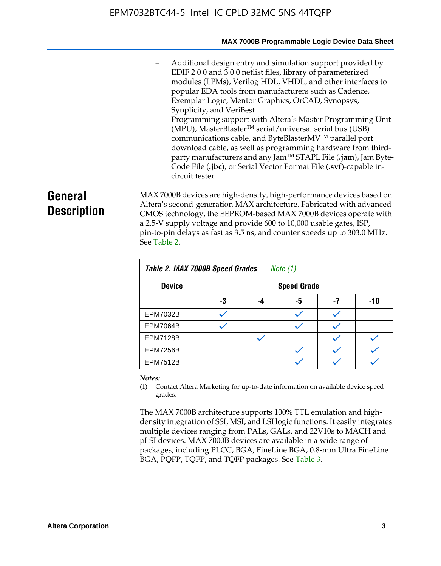#### **MAX 7000B Programmable Logic Device Data Sheet**

- Additional design entry and simulation support provided by EDIF 2 0 0 and 3 0 0 netlist files, library of parameterized modules (LPMs), Verilog HDL, VHDL, and other interfaces to popular EDA tools from manufacturers such as Cadence, Exemplar Logic, Mentor Graphics, OrCAD, Synopsys, Synplicity, and VeriBest
- Programming support with Altera's Master Programming Unit  $(MPU)$ , MasterBlaster<sup>TM</sup> serial/universal serial bus (USB) communications cable, and ByteBlasterMVTM parallel port download cable, as well as programming hardware from thirdparty manufacturers and any JamTM STAPL File (**.jam**), Jam Byte-Code File (**.jbc**), or Serial Vector Format File (**.svf**)-capable incircuit tester

# **General Description**

MAX 7000B devices are high-density, high-performance devices based on Altera's second-generation MAX architecture. Fabricated with advanced CMOS technology, the EEPROM-based MAX 7000B devices operate with a 2.5-V supply voltage and provide 600 to 10,000 usable gates, ISP, pin-to-pin delays as fast as 3.5 ns, and counter speeds up to 303.0 MHz. See Table 2.

| Table 2. MAX 7000B Speed Grades<br>Note $(1)$ |    |                    |    |    |     |  |  |
|-----------------------------------------------|----|--------------------|----|----|-----|--|--|
| <b>Device</b>                                 |    | <b>Speed Grade</b> |    |    |     |  |  |
|                                               | -3 | -4                 | -5 | -7 | -10 |  |  |
| <b>EPM7032B</b>                               |    |                    |    |    |     |  |  |
| <b>EPM7064B</b>                               |    |                    |    |    |     |  |  |
| <b>EPM7128B</b>                               |    |                    |    |    |     |  |  |
| <b>EPM7256B</b>                               |    |                    |    |    |     |  |  |
| <b>EPM7512B</b>                               |    |                    |    |    |     |  |  |

#### *Notes:*

(1) Contact Altera Marketing for up-to-date information on available device speed grades.

The MAX 7000B architecture supports 100% TTL emulation and highdensity integration of SSI, MSI, and LSI logic functions. It easily integrates multiple devices ranging from PALs, GALs, and 22V10s to MACH and pLSI devices. MAX 7000B devices are available in a wide range of packages, including PLCC, BGA, FineLine BGA, 0.8-mm Ultra FineLine BGA, PQFP, TQFP, and TQFP packages. See Table 3.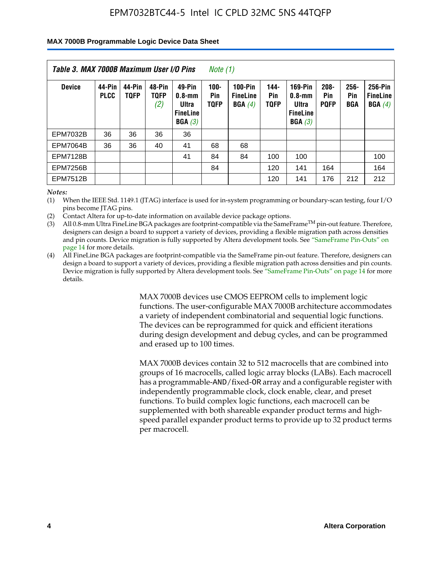#### **MAX 7000B Programmable Logic Device Data Sheet**

| Table 3. MAX 7000B Maximum User I/O Pins<br>Note (1) |                       |                       |                              |                                                        |                               |                                             |                               |                                                                    |                               |                    |                                      |
|------------------------------------------------------|-----------------------|-----------------------|------------------------------|--------------------------------------------------------|-------------------------------|---------------------------------------------|-------------------------------|--------------------------------------------------------------------|-------------------------------|--------------------|--------------------------------------|
| <b>Device</b>                                        | 44-Pin<br><b>PLCC</b> | 44-Pin<br><b>TOFP</b> | 48-Pin<br><b>TOFP</b><br>(2) | 49-Pin<br>0.8-mm<br>Ultra<br><b>FineLine</b><br>BGA(3) | $100 -$<br>Pin<br><b>TQFP</b> | <b>100-Pin</b><br><b>FineLine</b><br>BGA(4) | $144 -$<br>Pin<br><b>TOFP</b> | <b>169-Pin</b><br>$0.8 - mm$<br>Ultra<br><b>FineLine</b><br>BGA(3) | $208 -$<br>Pin<br><b>POFP</b> | 256-<br>Pin<br>BGA | 256-Pin<br><b>FineLine</b><br>BGA(4) |
| <b>EPM7032B</b>                                      | 36                    | 36                    | 36                           | 36                                                     |                               |                                             |                               |                                                                    |                               |                    |                                      |
| <b>EPM7064B</b>                                      | 36                    | 36                    | 40                           | 41                                                     | 68                            | 68                                          |                               |                                                                    |                               |                    |                                      |
| <b>EPM7128B</b>                                      |                       |                       |                              | 41                                                     | 84                            | 84                                          | 100                           | 100                                                                |                               |                    | 100                                  |
| <b>EPM7256B</b>                                      |                       |                       |                              |                                                        | 84                            |                                             | 120                           | 141                                                                | 164                           |                    | 164                                  |
| <b>EPM7512B</b>                                      |                       |                       |                              |                                                        |                               |                                             | 120                           | 141                                                                | 176                           | 212                | 212                                  |

*Notes:*

(1) When the IEEE Std. 1149.1 (JTAG) interface is used for in-system programming or boundary-scan testing, four I/O pins become JTAG pins.

(2) Contact Altera for up-to-date information on available device package options.

(3) All 0.8-mm Ultra FineLine BGA packages are footprint-compatible via the SameFrame<sup>TM</sup> pin-out feature. Therefore, designers can design a board to support a variety of devices, providing a flexible migration path across densities and pin counts. Device migration is fully supported by Altera development tools. See "SameFrame Pin-Outs" on page 14 for more details.

(4) All FineLine BGA packages are footprint-compatible via the SameFrame pin-out feature. Therefore, designers can design a board to support a variety of devices, providing a flexible migration path across densities and pin counts. Device migration is fully supported by Altera development tools. See "SameFrame Pin-Outs" on page 14 for more details.

> MAX 7000B devices use CMOS EEPROM cells to implement logic functions. The user-configurable MAX 7000B architecture accommodates a variety of independent combinatorial and sequential logic functions. The devices can be reprogrammed for quick and efficient iterations during design development and debug cycles, and can be programmed and erased up to 100 times.

> MAX 7000B devices contain 32 to 512 macrocells that are combined into groups of 16 macrocells, called logic array blocks (LABs). Each macrocell has a programmable-AND/fixed-OR array and a configurable register with independently programmable clock, clock enable, clear, and preset functions. To build complex logic functions, each macrocell can be supplemented with both shareable expander product terms and highspeed parallel expander product terms to provide up to 32 product terms per macrocell.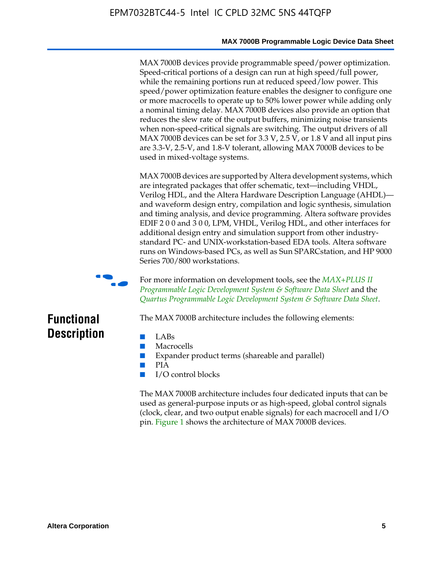#### **MAX 7000B Programmable Logic Device Data Sheet**

MAX 7000B devices provide programmable speed/power optimization. Speed-critical portions of a design can run at high speed/full power, while the remaining portions run at reduced speed/low power. This speed/power optimization feature enables the designer to configure one or more macrocells to operate up to 50% lower power while adding only a nominal timing delay. MAX 7000B devices also provide an option that reduces the slew rate of the output buffers, minimizing noise transients when non-speed-critical signals are switching. The output drivers of all MAX 7000B devices can be set for 3.3 V, 2.5 V, or 1.8 V and all input pins are 3.3-V, 2.5-V, and 1.8-V tolerant, allowing MAX 7000B devices to be used in mixed-voltage systems.

MAX 7000B devices are supported by Altera development systems, which are integrated packages that offer schematic, text—including VHDL, Verilog HDL, and the Altera Hardware Description Language (AHDL) and waveform design entry, compilation and logic synthesis, simulation and timing analysis, and device programming. Altera software provides EDIF 2 0 0 and 3 0 0, LPM, VHDL, Verilog HDL, and other interfaces for additional design entry and simulation support from other industrystandard PC- and UNIX-workstation-based EDA tools. Altera software runs on Windows-based PCs, as well as Sun SPARCstation, and HP 9000 Series 700/800 workstations.



**For more information on development tools, see the** *MAX+PLUS II Programmable Logic Development System & Software Data Sheet* and the *Quartus Programmable Logic Development System & Software Data Sheet*.

# **Functional Description**

- LABs
- Macrocells
- Expander product terms (shareable and parallel)

The MAX 7000B architecture includes the following elements:

- PIA
- I/O control blocks

The MAX 7000B architecture includes four dedicated inputs that can be used as general-purpose inputs or as high-speed, global control signals (clock, clear, and two output enable signals) for each macrocell and I/O pin. Figure 1 shows the architecture of MAX 7000B devices.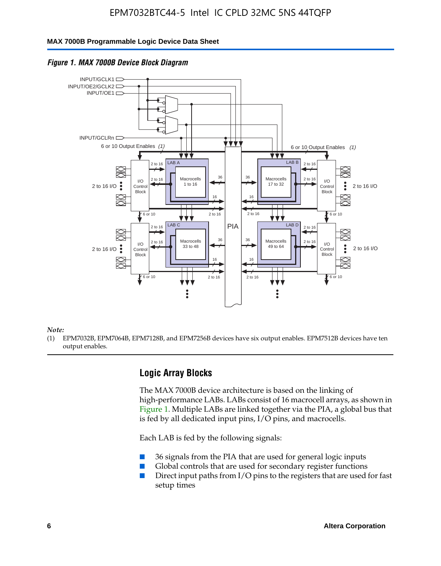#### **MAX 7000B Programmable Logic Device Data Sheet**



#### *Figure 1. MAX 7000B Device Block Diagram*

*Note:*

(1) EPM7032B, EPM7064B, EPM7128B, and EPM7256B devices have six output enables. EPM7512B devices have ten output enables.

### **Logic Array Blocks**

The MAX 7000B device architecture is based on the linking of high-performance LABs. LABs consist of 16 macrocell arrays, as shown in Figure 1. Multiple LABs are linked together via the PIA, a global bus that is fed by all dedicated input pins,  $I/O$  pins, and macrocells.

Each LAB is fed by the following signals:

- 36 signals from the PIA that are used for general logic inputs
- Global controls that are used for secondary register functions
- Direct input paths from I/O pins to the registers that are used for fast setup times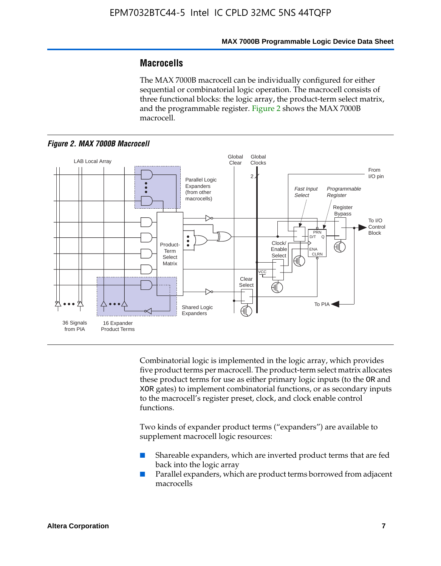### **Macrocells**

The MAX 7000B macrocell can be individually configured for either sequential or combinatorial logic operation. The macrocell consists of three functional blocks: the logic array, the product-term select matrix, and the programmable register. Figure 2 shows the MAX 7000B macrocell.





Combinatorial logic is implemented in the logic array, which provides five product terms per macrocell. The product-term select matrix allocates these product terms for use as either primary logic inputs (to the OR and XOR gates) to implement combinatorial functions, or as secondary inputs to the macrocell's register preset, clock, and clock enable control functions.

Two kinds of expander product terms ("expanders") are available to supplement macrocell logic resources:

- Shareable expanders, which are inverted product terms that are fed back into the logic array
- Parallel expanders, which are product terms borrowed from adjacent macrocells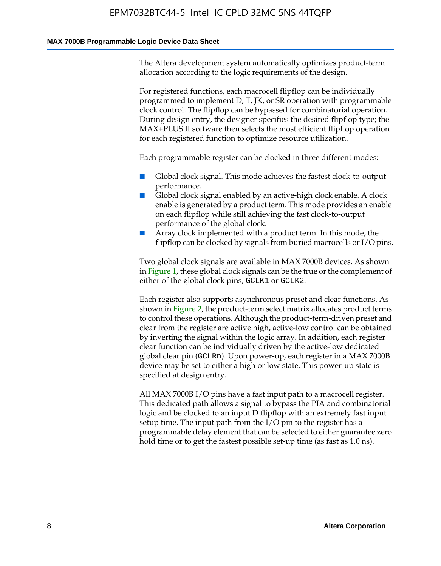#### **MAX 7000B Programmable Logic Device Data Sheet**

The Altera development system automatically optimizes product-term allocation according to the logic requirements of the design.

For registered functions, each macrocell flipflop can be individually programmed to implement D, T, JK, or SR operation with programmable clock control. The flipflop can be bypassed for combinatorial operation. During design entry, the designer specifies the desired flipflop type; the MAX+PLUS II software then selects the most efficient flipflop operation for each registered function to optimize resource utilization.

Each programmable register can be clocked in three different modes:

- Global clock signal. This mode achieves the fastest clock-to-output performance.
- Global clock signal enabled by an active-high clock enable. A clock enable is generated by a product term. This mode provides an enable on each flipflop while still achieving the fast clock-to-output performance of the global clock.
- Array clock implemented with a product term. In this mode, the flipflop can be clocked by signals from buried macrocells or I/O pins.

Two global clock signals are available in MAX 7000B devices. As shown in Figure 1, these global clock signals can be the true or the complement of either of the global clock pins, GCLK1 or GCLK2.

Each register also supports asynchronous preset and clear functions. As shown in Figure 2, the product-term select matrix allocates product terms to control these operations. Although the product-term-driven preset and clear from the register are active high, active-low control can be obtained by inverting the signal within the logic array. In addition, each register clear function can be individually driven by the active-low dedicated global clear pin (GCLRn). Upon power-up, each register in a MAX 7000B device may be set to either a high or low state. This power-up state is specified at design entry.

All MAX 7000B I/O pins have a fast input path to a macrocell register. This dedicated path allows a signal to bypass the PIA and combinatorial logic and be clocked to an input D flipflop with an extremely fast input setup time. The input path from the I/O pin to the register has a programmable delay element that can be selected to either guarantee zero hold time or to get the fastest possible set-up time (as fast as 1.0 ns).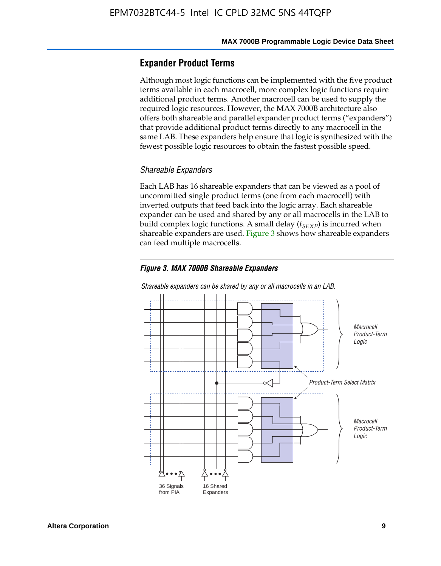### **Expander Product Terms**

Although most logic functions can be implemented with the five product terms available in each macrocell, more complex logic functions require additional product terms. Another macrocell can be used to supply the required logic resources. However, the MAX 7000B architecture also offers both shareable and parallel expander product terms ("expanders") that provide additional product terms directly to any macrocell in the same LAB. These expanders help ensure that logic is synthesized with the fewest possible logic resources to obtain the fastest possible speed.

#### *Shareable Expanders*

Each LAB has 16 shareable expanders that can be viewed as a pool of uncommitted single product terms (one from each macrocell) with inverted outputs that feed back into the logic array. Each shareable expander can be used and shared by any or all macrocells in the LAB to build complex logic functions. A small delay ( $t_{SEXP}$ ) is incurred when shareable expanders are used. Figure 3 shows how shareable expanders can feed multiple macrocells.

#### *Figure 3. MAX 7000B Shareable Expanders*



*Shareable expanders can be shared by any or all macrocells in an LAB.*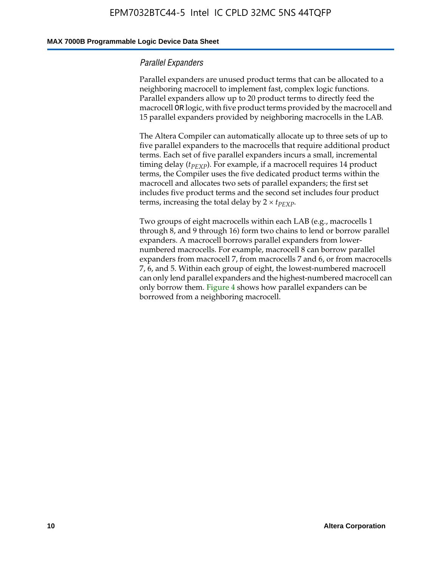#### **MAX 7000B Programmable Logic Device Data Sheet**

#### *Parallel Expanders*

Parallel expanders are unused product terms that can be allocated to a neighboring macrocell to implement fast, complex logic functions. Parallel expanders allow up to 20 product terms to directly feed the macrocell OR logic, with five product terms provided by the macrocell and 15 parallel expanders provided by neighboring macrocells in the LAB.

The Altera Compiler can automatically allocate up to three sets of up to five parallel expanders to the macrocells that require additional product terms. Each set of five parallel expanders incurs a small, incremental timing delay ( $t_{PEXP}$ ). For example, if a macrocell requires 14 product terms, the Compiler uses the five dedicated product terms within the macrocell and allocates two sets of parallel expanders; the first set includes five product terms and the second set includes four product terms, increasing the total delay by  $2 \times t_{PEXP}$ .

Two groups of eight macrocells within each LAB (e.g., macrocells 1 through 8, and 9 through 16) form two chains to lend or borrow parallel expanders. A macrocell borrows parallel expanders from lowernumbered macrocells. For example, macrocell 8 can borrow parallel expanders from macrocell 7, from macrocells 7 and 6, or from macrocells 7, 6, and 5. Within each group of eight, the lowest-numbered macrocell can only lend parallel expanders and the highest-numbered macrocell can only borrow them. Figure 4 shows how parallel expanders can be borrowed from a neighboring macrocell.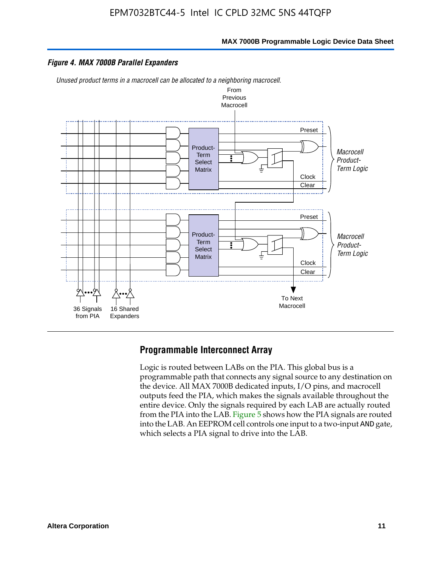**MAX 7000B Programmable Logic Device Data Sheet**

#### *Figure 4. MAX 7000B Parallel Expanders*

*Unused product terms in a macrocell can be allocated to a neighboring macrocell.*



### **Programmable Interconnect Array**

Logic is routed between LABs on the PIA. This global bus is a programmable path that connects any signal source to any destination on the device. All MAX 7000B dedicated inputs, I/O pins, and macrocell outputs feed the PIA, which makes the signals available throughout the entire device. Only the signals required by each LAB are actually routed from the PIA into the LAB. Figure 5 shows how the PIA signals are routed into the LAB. An EEPROM cell controls one input to a two-input AND gate, which selects a PIA signal to drive into the LAB.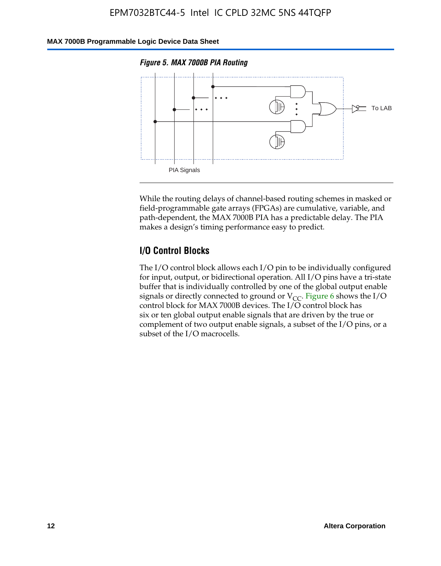### **MAX 7000B Programmable Logic Device Data Sheet**





While the routing delays of channel-based routing schemes in masked or field-programmable gate arrays (FPGAs) are cumulative, variable, and path-dependent, the MAX 7000B PIA has a predictable delay. The PIA makes a design's timing performance easy to predict.

### **I/O Control Blocks**

The I/O control block allows each I/O pin to be individually configured for input, output, or bidirectional operation. All I/O pins have a tri-state buffer that is individually controlled by one of the global output enable signals or directly connected to ground or  $V_{CC}$ . Figure 6 shows the I/O control block for MAX 7000B devices. The I/O control block has six or ten global output enable signals that are driven by the true or complement of two output enable signals, a subset of the I/O pins, or a subset of the I/O macrocells.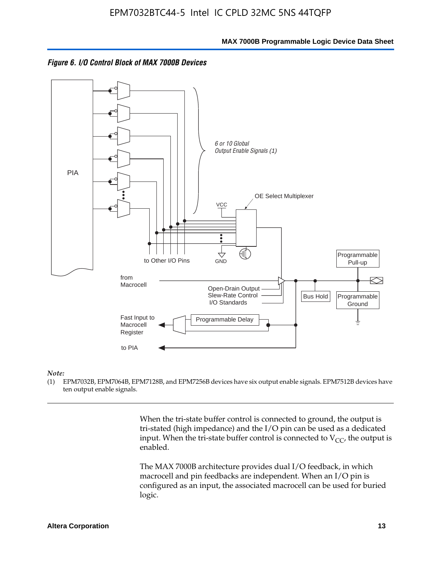



#### *Note:*

(1) EPM7032B, EPM7064B, EPM7128B, and EPM7256B devices have six output enable signals. EPM7512B devices have ten output enable signals.

> When the tri-state buffer control is connected to ground, the output is tri-stated (high impedance) and the I/O pin can be used as a dedicated input. When the tri-state buffer control is connected to  $V_{CC}$ , the output is enabled.

The MAX 7000B architecture provides dual I/O feedback, in which macrocell and pin feedbacks are independent. When an I/O pin is configured as an input, the associated macrocell can be used for buried logic.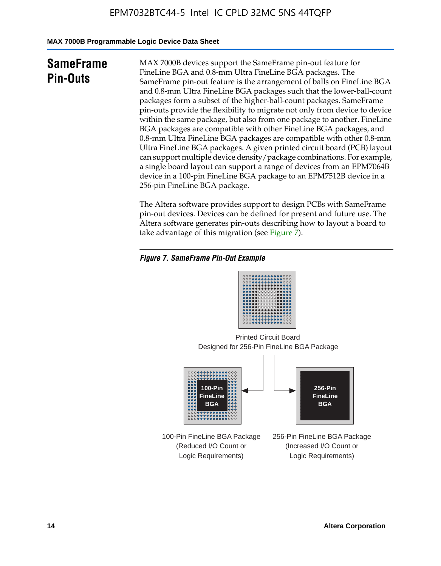**MAX 7000B Programmable Logic Device Data Sheet**

# **SameFrame Pin-Outs**

MAX 7000B devices support the SameFrame pin-out feature for FineLine BGA and 0.8-mm Ultra FineLine BGA packages. The SameFrame pin-out feature is the arrangement of balls on FineLine BGA and 0.8-mm Ultra FineLine BGA packages such that the lower-ball-count packages form a subset of the higher-ball-count packages. SameFrame pin-outs provide the flexibility to migrate not only from device to device within the same package, but also from one package to another. FineLine BGA packages are compatible with other FineLine BGA packages, and 0.8-mm Ultra FineLine BGA packages are compatible with other 0.8-mm Ultra FineLine BGA packages. A given printed circuit board (PCB) layout can support multiple device density/package combinations. For example, a single board layout can support a range of devices from an EPM7064B device in a 100-pin FineLine BGA package to an EPM7512B device in a 256-pin FineLine BGA package.

The Altera software provides support to design PCBs with SameFrame pin-out devices. Devices can be defined for present and future use. The Altera software generates pin-outs describing how to layout a board to take advantage of this migration (see Figure 7).

### *Figure 7. SameFrame Pin-Out Example*

| 0000000000000000<br>0000000000000000<br>0000000000000000<br><br>                |  |
|---------------------------------------------------------------------------------|--|
| 000000000000000<br><br>000000000000000<br><br>000000000000000<br>               |  |
| <br><b></b><br>000000000000000<br>0000000000000000<br>000 <b>0000000000</b> 000 |  |

Designed for 256-Pin FineLine BGA Package Printed Circuit Board



100-Pin FineLine BGA Package (Reduced I/O Count or Logic Requirements)

256-Pin FineLine BGA Package (Increased I/O Count or Logic Requirements)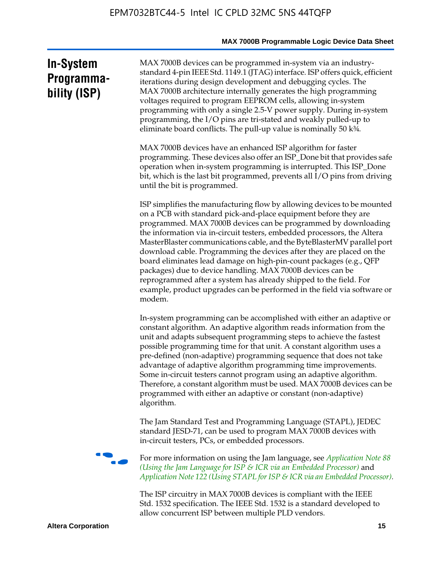| <b>In-System</b> |
|------------------|
| Programma-       |
| bility (ISP)     |

MAX 7000B devices can be programmed in-system via an industrystandard 4-pin IEEE Std. 1149.1 (JTAG) interface. ISP offers quick, efficient iterations during design development and debugging cycles. The MAX 7000B architecture internally generates the high programming voltages required to program EEPROM cells, allowing in-system programming with only a single 2.5-V power supply. During in-system programming, the I/O pins are tri-stated and weakly pulled-up to eliminate board conflicts. The pull-up value is nominally 50 k¾.

MAX 7000B devices have an enhanced ISP algorithm for faster programming. These devices also offer an ISP\_Done bit that provides safe operation when in-system programming is interrupted. This ISP\_Done bit, which is the last bit programmed, prevents all I/O pins from driving until the bit is programmed.

ISP simplifies the manufacturing flow by allowing devices to be mounted on a PCB with standard pick-and-place equipment before they are programmed. MAX 7000B devices can be programmed by downloading the information via in-circuit testers, embedded processors, the Altera MasterBlaster communications cable, and the ByteBlasterMV parallel port download cable. Programming the devices after they are placed on the board eliminates lead damage on high-pin-count packages (e.g., QFP packages) due to device handling. MAX 7000B devices can be reprogrammed after a system has already shipped to the field. For example, product upgrades can be performed in the field via software or modem.

In-system programming can be accomplished with either an adaptive or constant algorithm. An adaptive algorithm reads information from the unit and adapts subsequent programming steps to achieve the fastest possible programming time for that unit. A constant algorithm uses a pre-defined (non-adaptive) programming sequence that does not take advantage of adaptive algorithm programming time improvements. Some in-circuit testers cannot program using an adaptive algorithm. Therefore, a constant algorithm must be used. MAX 7000B devices can be programmed with either an adaptive or constant (non-adaptive) algorithm.

The Jam Standard Test and Programming Language (STAPL), JEDEC standard JESD-71, can be used to program MAX 7000B devices with in-circuit testers, PCs, or embedded processors.



f For more information on using the Jam language, see *Application Note 88 (Using the Jam Language for ISP & ICR via an Embedded Processor)* and *Application Note 122 (Using STAPL for ISP & ICR via an Embedded Processor).*

The ISP circuitry in MAX 7000B devices is compliant with the IEEE Std. 1532 specification. The IEEE Std. 1532 is a standard developed to allow concurrent ISP between multiple PLD vendors.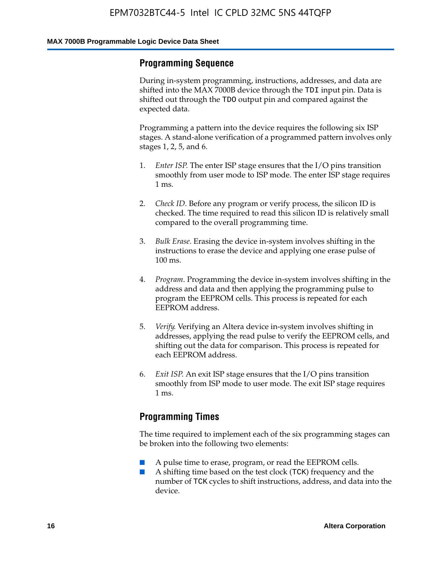### **Programming Sequence**

During in-system programming, instructions, addresses, and data are shifted into the MAX 7000B device through the TDI input pin. Data is shifted out through the TDO output pin and compared against the expected data.

Programming a pattern into the device requires the following six ISP stages. A stand-alone verification of a programmed pattern involves only stages 1, 2, 5, and 6.

- 1. *Enter ISP*. The enter ISP stage ensures that the I/O pins transition smoothly from user mode to ISP mode. The enter ISP stage requires 1 ms.
- 2. *Check ID*. Before any program or verify process, the silicon ID is checked. The time required to read this silicon ID is relatively small compared to the overall programming time.
- 3. *Bulk Erase*. Erasing the device in-system involves shifting in the instructions to erase the device and applying one erase pulse of 100 ms.
- 4. *Program*. Programming the device in-system involves shifting in the address and data and then applying the programming pulse to program the EEPROM cells. This process is repeated for each EEPROM address.
- 5. *Verify*. Verifying an Altera device in-system involves shifting in addresses, applying the read pulse to verify the EEPROM cells, and shifting out the data for comparison. This process is repeated for each EEPROM address.
- 6. *Exit ISP*. An exit ISP stage ensures that the I/O pins transition smoothly from ISP mode to user mode. The exit ISP stage requires 1 ms.

### **Programming Times**

The time required to implement each of the six programming stages can be broken into the following two elements:

- A pulse time to erase, program, or read the EEPROM cells.
- A shifting time based on the test clock (TCK) frequency and the number of TCK cycles to shift instructions, address, and data into the device.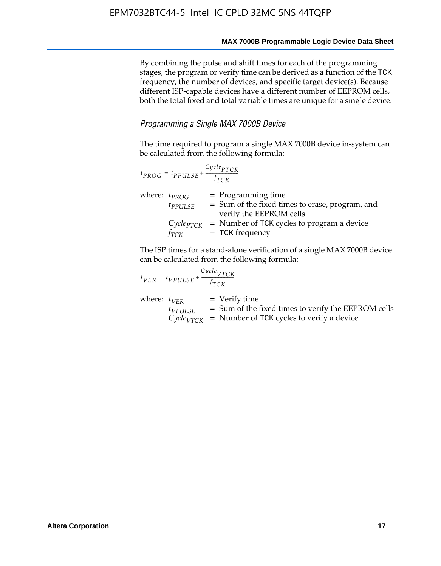By combining the pulse and shift times for each of the programming stages, the program or verify time can be derived as a function of the TCK frequency, the number of devices, and specific target device(s). Because different ISP-capable devices have a different number of EEPROM cells, both the total fixed and total variable times are unique for a single device.

### *Programming a Single MAX 7000B Device*

The time required to program a single MAX 7000B device in-system can be calculated from the following formula:

| $t_{PROG} = t_{PPULSE} + \frac{Cycle_{PTCK}}{f_{TCK}}$ |                                                                                                    |
|--------------------------------------------------------|----------------------------------------------------------------------------------------------------|
| where: $t_{PROG}$<br>$t_{PPULSE}$                      | $=$ Programming time<br>= Sum of the fixed times to erase, program, and<br>verify the EEPROM cells |
| $Cycle_{PTCK}$<br>fтск                                 | = Number of TCK cycles to program a device<br>$=$ TCK frequency                                    |

The ISP times for a stand-alone verification of a single MAX 7000B device can be calculated from the following formula:

| $t_{VER} = t_{VPULSE} + \frac{t_{TCK}}{f_{TCK}}$ | $Cycle_{VTCK}$ |                                                                                                                                   |
|--------------------------------------------------|----------------|-----------------------------------------------------------------------------------------------------------------------------------|
| where: $t_{VFR}$<br>$t_{VPULSE}$                 |                | $=$ Verify time<br>$=$ Sum of the fixed times to verify the EEPROM cells<br>$CycleVTCK$ = Number of TCK cycles to verify a device |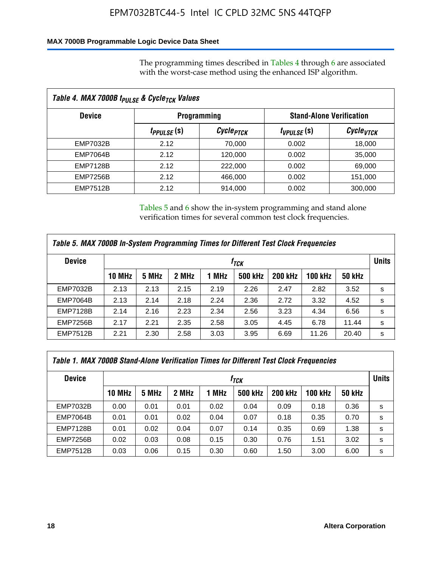### **MAX 7000B Programmable Logic Device Data Sheet**

The programming times described in Tables 4 through 6 are associated with the worst-case method using the enhanced ISP algorithm.

| Table 4. MAX 7000B t <sub>PULSE</sub> & Cycle <sub>TCK</sub> Values |                               |                       |                                 |                       |  |  |  |
|---------------------------------------------------------------------|-------------------------------|-----------------------|---------------------------------|-----------------------|--|--|--|
| <b>Device</b>                                                       | <b>Programming</b>            |                       | <b>Stand-Alone Verification</b> |                       |  |  |  |
|                                                                     | <i>t<sub>PPULSE</sub></i> (s) | Cycle <sub>PTCK</sub> | $t_{VPULSE}(s)$                 | Cycle <sub>vTCK</sub> |  |  |  |
| EMP7032B                                                            | 2.12                          | 70,000                | 0.002                           | 18,000                |  |  |  |
| <b>EMP7064B</b>                                                     | 2.12                          | 120,000               | 0.002                           | 35,000                |  |  |  |
| <b>EMP7128B</b>                                                     | 2.12                          | 222,000               | 0.002                           | 69,000                |  |  |  |
| <b>EMP7256B</b>                                                     | 2.12                          | 466,000               | 0.002                           | 151,000               |  |  |  |
| <b>EMP7512B</b>                                                     | 2.12                          | 914,000               | 0.002                           | 300,000               |  |  |  |

Tables 5 and 6 show the in-system programming and stand alone verification times for several common test clock frequencies.

| Table 5. MAX 7000B In-System Programming Times for Different Test Clock Frequencies |        |       |       |       |                |                |                |               |   |
|-------------------------------------------------------------------------------------|--------|-------|-------|-------|----------------|----------------|----------------|---------------|---|
| <b>Device</b>                                                                       | İтск   |       |       |       |                |                |                | <b>Units</b>  |   |
|                                                                                     | 10 MHz | 5 MHz | 2 MHz | 1 MHz | <b>500 kHz</b> | <b>200 kHz</b> | <b>100 kHz</b> | <b>50 kHz</b> |   |
| <b>EMP7032B</b>                                                                     | 2.13   | 2.13  | 2.15  | 2.19  | 2.26           | 2.47           | 2.82           | 3.52          | s |
| <b>EMP7064B</b>                                                                     | 2.13   | 2.14  | 2.18  | 2.24  | 2.36           | 2.72           | 3.32           | 4.52          | s |
| <b>EMP7128B</b>                                                                     | 2.14   | 2.16  | 2.23  | 2.34  | 2.56           | 3.23           | 4.34           | 6.56          | s |
| <b>EMP7256B</b>                                                                     | 2.17   | 2.21  | 2.35  | 2.58  | 3.05           | 4.45           | 6.78           | 11.44         | s |
| <b>EMP7512B</b>                                                                     | 2.21   | 2.30  | 2.58  | 3.03  | 3.95           | 6.69           | 11.26          | 20.40         | s |

| Table 1. MAX 7000B Stand-Alone Verification Times for Different Test Clock Frequencies |                  |       |       |       |                |                |                |               |   |
|----------------------------------------------------------------------------------------|------------------|-------|-------|-------|----------------|----------------|----------------|---------------|---|
| <b>Device</b>                                                                          | t <sub>тск</sub> |       |       |       |                |                |                | <b>Units</b>  |   |
|                                                                                        | <b>10 MHz</b>    | 5 MHz | 2 MHz | 1 MHz | <b>500 kHz</b> | <b>200 kHz</b> | <b>100 kHz</b> | <b>50 kHz</b> |   |
| <b>EMP7032B</b>                                                                        | 0.00             | 0.01  | 0.01  | 0.02  | 0.04           | 0.09           | 0.18           | 0.36          | s |
| <b>EMP7064B</b>                                                                        | 0.01             | 0.01  | 0.02  | 0.04  | 0.07           | 0.18           | 0.35           | 0.70          | s |
| <b>EMP7128B</b>                                                                        | 0.01             | 0.02  | 0.04  | 0.07  | 0.14           | 0.35           | 0.69           | 1.38          | s |
| <b>EMP7256B</b>                                                                        | 0.02             | 0.03  | 0.08  | 0.15  | 0.30           | 0.76           | 1.51           | 3.02          | s |
| <b>EMP7512B</b>                                                                        | 0.03             | 0.06  | 0.15  | 0.30  | 0.60           | 1.50           | 3.00           | 6.00          | s |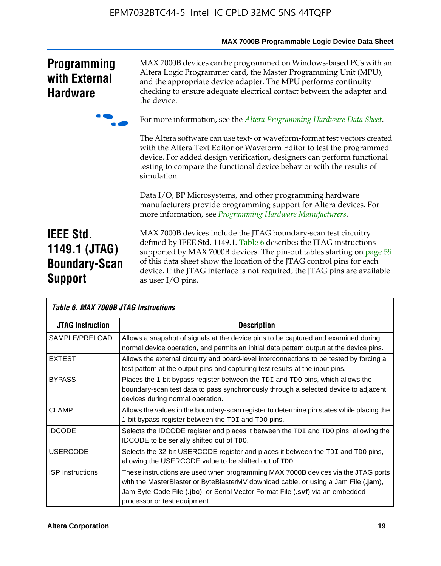|                                                                             | MAX 7000B Programmable Logic Device Data Sheet                                                                                                                                                                                                                                                                                                                                                 |
|-----------------------------------------------------------------------------|------------------------------------------------------------------------------------------------------------------------------------------------------------------------------------------------------------------------------------------------------------------------------------------------------------------------------------------------------------------------------------------------|
| <b>Programming</b><br>with External<br><b>Hardware</b>                      | MAX 7000B devices can be programmed on Windows-based PCs with an<br>Altera Logic Programmer card, the Master Programming Unit (MPU),<br>and the appropriate device adapter. The MPU performs continuity<br>checking to ensure adequate electrical contact between the adapter and<br>the device.                                                                                               |
|                                                                             | For more information, see the Altera Programming Hardware Data Sheet.                                                                                                                                                                                                                                                                                                                          |
|                                                                             | The Altera software can use text- or waveform-format test vectors created<br>with the Altera Text Editor or Waveform Editor to test the programmed<br>device. For added design verification, designers can perform functional<br>testing to compare the functional device behavior with the results of<br>simulation.                                                                          |
|                                                                             | Data I/O, BP Microsystems, and other programming hardware<br>manufacturers provide programming support for Altera devices. For<br>more information, see Programming Hardware Manufacturers.                                                                                                                                                                                                    |
| <b>IEEE Std.</b><br>1149.1 (JTAG)<br><b>Boundary-Scan</b><br><b>Support</b> | MAX 7000B devices include the JTAG boundary-scan test circuitry<br>defined by IEEE Std. 1149.1. Table 6 describes the JTAG instructions<br>supported by MAX 7000B devices. The pin-out tables starting on page 59<br>of this data sheet show the location of the JTAG control pins for each<br>device. If the JTAG interface is not required, the JTAG pins are available<br>as user I/O pins. |

|                         | Table 6. MAX 7000B JTAG Instructions                                                                                                                                                                                                                                                       |  |  |  |  |  |
|-------------------------|--------------------------------------------------------------------------------------------------------------------------------------------------------------------------------------------------------------------------------------------------------------------------------------------|--|--|--|--|--|
| <b>JTAG Instruction</b> | <b>Description</b>                                                                                                                                                                                                                                                                         |  |  |  |  |  |
| SAMPLE/PRELOAD          | Allows a snapshot of signals at the device pins to be captured and examined during<br>normal device operation, and permits an initial data pattern output at the device pins.                                                                                                              |  |  |  |  |  |
| <b>EXTEST</b>           | Allows the external circuitry and board-level interconnections to be tested by forcing a<br>test pattern at the output pins and capturing test results at the input pins.                                                                                                                  |  |  |  |  |  |
| <b>BYPASS</b>           | Places the 1-bit bypass register between the TDI and TDO pins, which allows the<br>boundary-scan test data to pass synchronously through a selected device to adjacent<br>devices during normal operation.                                                                                 |  |  |  |  |  |
| <b>CLAMP</b>            | Allows the values in the boundary-scan register to determine pin states while placing the<br>1-bit bypass register between the TDI and TDO pins.                                                                                                                                           |  |  |  |  |  |
| <b>IDCODE</b>           | Selects the IDCODE register and places it between the TDI and TDO pins, allowing the<br><b>IDCODE</b> to be serially shifted out of TDO.                                                                                                                                                   |  |  |  |  |  |
| <b>USERCODE</b>         | Selects the 32-bit USERCODE register and places it between the TDI and TDO pins,<br>allowing the USERCODE value to be shifted out of TDO.                                                                                                                                                  |  |  |  |  |  |
| <b>ISP</b> Instructions | These instructions are used when programming MAX 7000B devices via the JTAG ports<br>with the MasterBlaster or ByteBlasterMV download cable, or using a Jam File (.jam),<br>Jam Byte-Code File (.jbc), or Serial Vector Format File (.svf) via an embedded<br>processor or test equipment. |  |  |  |  |  |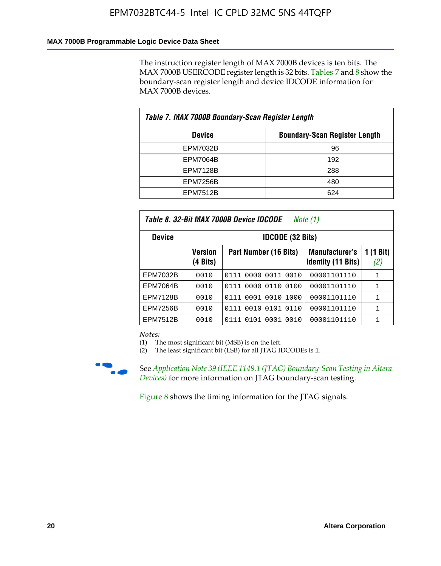### **MAX 7000B Programmable Logic Device Data Sheet**

The instruction register length of MAX 7000B devices is ten bits. The MAX 7000B USERCODE register length is 32 bits. Tables 7 and 8 show the boundary-scan register length and device IDCODE information for MAX 7000B devices.

| Table 7. MAX 7000B Boundary-Scan Register Length |                                      |  |  |  |  |  |
|--------------------------------------------------|--------------------------------------|--|--|--|--|--|
| <b>Device</b>                                    | <b>Boundary-Scan Register Length</b> |  |  |  |  |  |
| EPM7032B                                         | 96                                   |  |  |  |  |  |
| <b>EPM7064B</b>                                  | 192                                  |  |  |  |  |  |
| <b>EPM7128B</b>                                  | 288                                  |  |  |  |  |  |
| <b>EPM7256B</b>                                  | 480                                  |  |  |  |  |  |
| <b>EPM7512B</b>                                  | 624                                  |  |  |  |  |  |

| Table 8. 32-Bit MAX 7000B Device IDCODE<br>Note $(1)$ |                            |                              |                                                    |                  |  |  |  |  |
|-------------------------------------------------------|----------------------------|------------------------------|----------------------------------------------------|------------------|--|--|--|--|
| <b>Device</b>                                         | <b>IDCODE (32 Bits)</b>    |                              |                                                    |                  |  |  |  |  |
|                                                       | <b>Version</b><br>(4 Bits) | Part Number (16 Bits)        | <b>Manufacturer's</b><br><b>Identity (11 Bits)</b> | 1 (1 Bit)<br>(2) |  |  |  |  |
| EPM7032B                                              | 0010                       | 0111 0000 0011 0010          | 00001101110                                        | 1                |  |  |  |  |
| <b>EPM7064B</b>                                       | 0010                       | 0111 0000 0110 0100          | 00001101110                                        | 1                |  |  |  |  |
| <b>EPM7128B</b>                                       | 0010                       | 0001<br>0010<br>1000<br>0111 | 00001101110                                        | 1                |  |  |  |  |
| <b>EPM7256B</b>                                       | 0010                       | 0111 0010 0101 0110          | 00001101110                                        | 1                |  |  |  |  |
| EPM7512B                                              | 0010                       | 0111 0101 0001 0010          | 00001101110                                        |                  |  |  |  |  |

*Notes:*

(1) The most significant bit (MSB) is on the left.

(2) The least significant bit (LSB) for all JTAG IDCODEs is 1.



**f See Application Note 39 (IEEE 1149.1 (JTAG) Boundary-Scan Testing in Altera** *Devices)* for more information on JTAG boundary-scan testing.

Figure 8 shows the timing information for the JTAG signals.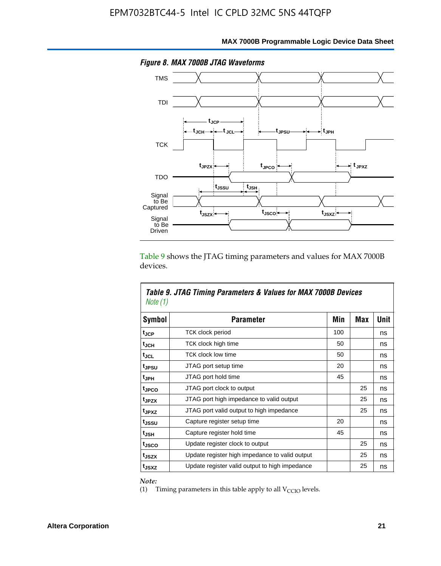

Table 9 shows the JTAG timing parameters and values for MAX 7000B devices.

| Note (1)          | Table 9. JTAG Timing Parameters & Values for MAX 7000B Devices |     |            |      |  |  |  |  |
|-------------------|----------------------------------------------------------------|-----|------------|------|--|--|--|--|
| Symbol            | <b>Parameter</b>                                               | Min | <b>Max</b> | Unit |  |  |  |  |
| tjcp              | TCK clock period                                               | 100 |            | ns   |  |  |  |  |
| t <sub>JCH</sub>  | TCK clock high time                                            | 50  |            | ns   |  |  |  |  |
| tjcl              | <b>TCK clock low time</b>                                      | 50  |            | ns   |  |  |  |  |
| tjesu             | JTAG port setup time                                           | 20  |            | ns   |  |  |  |  |
| t <sub>JPH</sub>  | JTAG port hold time                                            | 45  |            | ns   |  |  |  |  |
| tjpco             | JTAG port clock to output                                      |     | 25         | ns   |  |  |  |  |
| t <sub>JPZX</sub> | JTAG port high impedance to valid output                       |     | 25         | ns   |  |  |  |  |
| t <sub>JPXZ</sub> | JTAG port valid output to high impedance                       |     | 25         | ns   |  |  |  |  |
| tussu             | Capture register setup time                                    | 20  |            | ns   |  |  |  |  |
| tjsh              | Capture register hold time                                     | 45  |            | ns   |  |  |  |  |
| t <sub>JSCO</sub> | Update register clock to output                                |     | 25         | ns   |  |  |  |  |
| t <sub>JSZX</sub> | Update register high impedance to valid output                 |     | 25         | ns   |  |  |  |  |
| t <sub>JSXZ</sub> | Update register valid output to high impedance                 |     | 25         | ns   |  |  |  |  |

*Note:*

Г

(1) Timing parameters in this table apply to all  $V_{\text{CCIO}}$  levels.

٦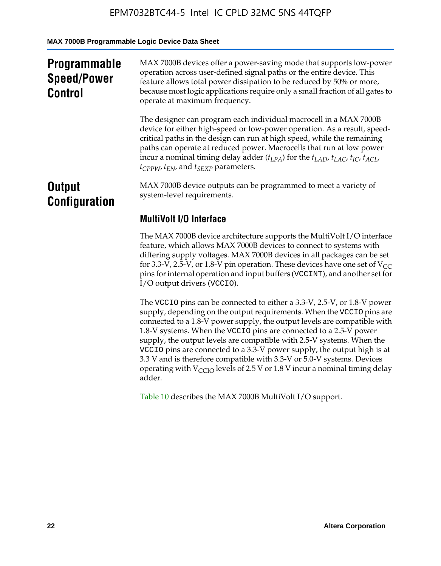**MAX 7000B Programmable Logic Device Data Sheet**

| <b>Programmable</b><br><b>Speed/Power</b><br><b>Control</b> | MAX 7000B devices offer a power-saving mode that supports low-power<br>operation across user-defined signal paths or the entire device. This<br>feature allows total power dissipation to be reduced by 50% or more,<br>because most logic applications require only a small fraction of all gates to<br>operate at maximum frequency.                                                                                                                          |
|-------------------------------------------------------------|-----------------------------------------------------------------------------------------------------------------------------------------------------------------------------------------------------------------------------------------------------------------------------------------------------------------------------------------------------------------------------------------------------------------------------------------------------------------|
|                                                             | The designer can program each individual macrocell in a MAX 7000B<br>device for either high-speed or low-power operation. As a result, speed-<br>critical paths in the design can run at high speed, while the remaining<br>paths can operate at reduced power. Macrocells that run at low power<br>incur a nominal timing delay adder $(t_{LPA})$ for the $t_{LAD}$ , $t_{LAC}$ , $t_{IC}$ , $t_{ACL}$ ,<br>$t_{CPPW}$ , $t_{EN}$ , and $t_{SEXP}$ parameters. |
| <b>Output</b><br><b>Configuration</b>                       | MAX 7000B device outputs can be programmed to meet a variety of<br>system-level requirements.                                                                                                                                                                                                                                                                                                                                                                   |
|                                                             | <b>MultiVolt I/O Interface</b>                                                                                                                                                                                                                                                                                                                                                                                                                                  |
|                                                             | The MAX 7000B device architecture supports the MultiVolt I/O interface<br>feature, which allows MAX 7000B devices to connect to systems with<br>differing supply voltages. MAX 7000B devices in all packages can be set<br>for 3.3-V, 2.5-V, or 1.8-V pin operation. These devices have one set of $V_{CC}$<br>pins for internal operation and input buffers (VCCINT), and another set for<br>I/O output drivers (VCCIO).                                       |

The VCCIO pins can be connected to either a 3.3-V, 2.5-V, or 1.8-V power supply, depending on the output requirements. When the VCCIO pins are connected to a 1.8-V power supply, the output levels are compatible with 1.8-V systems. When the VCCIO pins are connected to a 2.5- $\hat{V}$  power supply, the output levels are compatible with 2.5-V systems. When the VCCIO pins are connected to a 3.3-V power supply, the output high is at 3.3 V and is therefore compatible with 3.3-V or 5.0-V systems. Devices operating with  $V_{\text{CCIO}}$  levels of 2.5 V or 1.8 V incur a nominal timing delay adder.

Table 10 describes the MAX 7000B MultiVolt I/O support.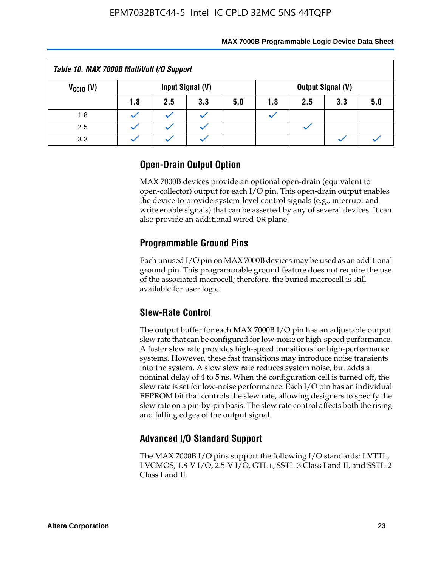| Table 10. MAX 7000B MultiVolt I/O Support                            |     |     |     |     |     |     |     |     |
|----------------------------------------------------------------------|-----|-----|-----|-----|-----|-----|-----|-----|
| Input Signal (V)<br><b>Output Signal (V)</b><br>$V_{\text{CCIO}}(V)$ |     |     |     |     |     |     |     |     |
|                                                                      | 1.8 | 2.5 | 3.3 | 5.0 | 1.8 | 2.5 | 3.3 | 5.0 |
| 1.8                                                                  |     |     |     |     |     |     |     |     |
| 2.5                                                                  |     |     |     |     |     |     |     |     |
| 3.3                                                                  |     |     |     |     |     |     |     |     |

### **Open-Drain Output Option**

MAX 7000B devices provide an optional open-drain (equivalent to open-collector) output for each I/O pin. This open-drain output enables the device to provide system-level control signals (e.g., interrupt and write enable signals) that can be asserted by any of several devices. It can also provide an additional wired-OR plane.

### **Programmable Ground Pins**

Each unused I/O pin on MAX 7000B devices may be used as an additional ground pin. This programmable ground feature does not require the use of the associated macrocell; therefore, the buried macrocell is still available for user logic.

### **Slew-Rate Control**

The output buffer for each MAX 7000B I/O pin has an adjustable output slew rate that can be configured for low-noise or high-speed performance. A faster slew rate provides high-speed transitions for high-performance systems. However, these fast transitions may introduce noise transients into the system. A slow slew rate reduces system noise, but adds a nominal delay of 4 to 5 ns. When the configuration cell is turned off, the slew rate is set for low-noise performance. Each I/O pin has an individual EEPROM bit that controls the slew rate, allowing designers to specify the slew rate on a pin-by-pin basis. The slew rate control affects both the rising and falling edges of the output signal.

### **Advanced I/O Standard Support**

The MAX 7000B I/O pins support the following I/O standards: LVTTL, LVCMOS, 1.8-V I/O, 2.5-V I/O, GTL+, SSTL-3 Class I and II, and SSTL-2 Class I and II.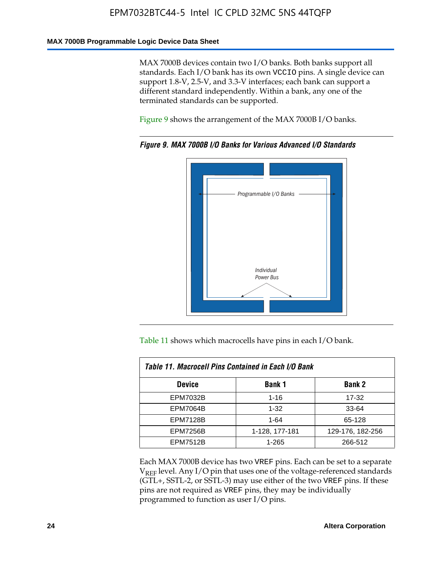#### **MAX 7000B Programmable Logic Device Data Sheet**

MAX 7000B devices contain two I/O banks. Both banks support all standards. Each I/O bank has its own VCCIO pins. A single device can support 1.8-V, 2.5-V, and 3.3-V interfaces; each bank can support a different standard independently. Within a bank, any one of the terminated standards can be supported.

Figure 9 shows the arrangement of the MAX 7000B I/O banks.



*Figure 9. MAX 7000B I/O Banks for Various Advanced I/O Standards*

Table 11 shows which macrocells have pins in each I/O bank.

| Table 11. Macrocell Pins Contained in Each I/O Bank |                |                  |  |  |  |  |  |
|-----------------------------------------------------|----------------|------------------|--|--|--|--|--|
| <b>Device</b>                                       | <b>Bank 1</b>  | <b>Bank 2</b>    |  |  |  |  |  |
| <b>EPM7032B</b>                                     | $1 - 16$       | 17-32            |  |  |  |  |  |
| <b>EPM7064B</b>                                     | $1 - 32$       | 33-64            |  |  |  |  |  |
| <b>EPM7128B</b>                                     | $1 - 64$       | 65-128           |  |  |  |  |  |
| <b>EPM7256B</b>                                     | 1-128, 177-181 | 129-176, 182-256 |  |  |  |  |  |
| <b>EPM7512B</b>                                     | 1-265          | 266-512          |  |  |  |  |  |

Each MAX 7000B device has two VREF pins. Each can be set to a separate  $V_{REF}$  level. Any I/O pin that uses one of the voltage-referenced standards (GTL+, SSTL-2, or SSTL-3) may use either of the two VREF pins. If these pins are not required as VREF pins, they may be individually programmed to function as user I/O pins.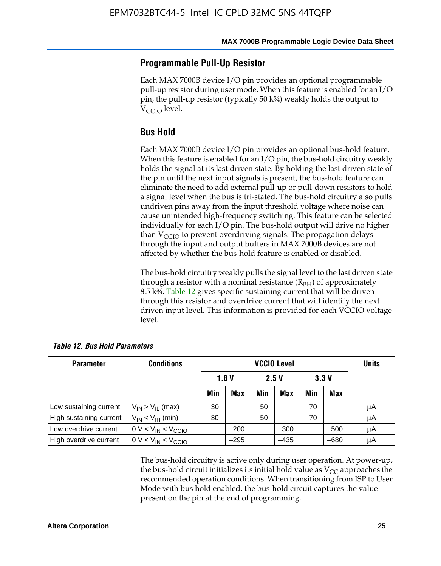### **Programmable Pull-Up Resistor**

Each MAX 7000B device I/O pin provides an optional programmable pull-up resistor during user mode. When this feature is enabled for an I/O pin, the pull-up resistor (typically 50 k¾) weakly holds the output to  $V_{CCI}$  level.

### **Bus Hold**

Each MAX 7000B device I/O pin provides an optional bus-hold feature. When this feature is enabled for an I/O pin, the bus-hold circuitry weakly holds the signal at its last driven state. By holding the last driven state of the pin until the next input signals is present, the bus-hold feature can eliminate the need to add external pull-up or pull-down resistors to hold a signal level when the bus is tri-stated. The bus-hold circuitry also pulls undriven pins away from the input threshold voltage where noise can cause unintended high-frequency switching. This feature can be selected individually for each I/O pin. The bus-hold output will drive no higher than  $V_{\text{C}CD}$  to prevent overdriving signals. The propagation delays through the input and output buffers in MAX 7000B devices are not affected by whether the bus-hold feature is enabled or disabled.

The bus-hold circuitry weakly pulls the signal level to the last driven state through a resistor with a nominal resistance  $(R<sub>BH</sub>)$  of approximately 8.5 k¾. Table 12 gives specific sustaining current that will be driven through this resistor and overdrive current that will identify the next driven input level. This information is provided for each VCCIO voltage level.

| <b>Table 12. Bus Hold Parameters</b> |                           |                    |            |       |            |       |              |    |
|--------------------------------------|---------------------------|--------------------|------------|-------|------------|-------|--------------|----|
| <b>Parameter</b>                     | <b>Conditions</b>         | <b>VCCIO Level</b> |            |       |            |       | <b>Units</b> |    |
|                                      |                           |                    | 1.8V       |       | 2.5V       |       | 3.3V         |    |
|                                      |                           | Min                | <b>Max</b> | Min   | <b>Max</b> | Min   | <b>Max</b>   |    |
| Low sustaining current               | $V_{IN}$ > $V_{II}$ (max) | 30                 |            | 50    |            | 70    |              | μA |
| High sustaining current              | $V_{IN}$ < $V_{IH}$ (min) | $-30$              |            | $-50$ |            | $-70$ |              | μA |
| Low overdrive current                | $0 V < V_{IN} < V_{CCIO}$ |                    | 200        |       | 300        |       | 500          | μA |
| High overdrive current               | $0 V < V_{IN} < V_{CCIO}$ |                    | $-295$     |       | $-435$     |       | $-680$       | μA |

The bus-hold circuitry is active only during user operation. At power-up, the bus-hold circuit initializes its initial hold value as  $V_{CC}$  approaches the recommended operation conditions. When transitioning from ISP to User Mode with bus hold enabled, the bus-hold circuit captures the value present on the pin at the end of programming.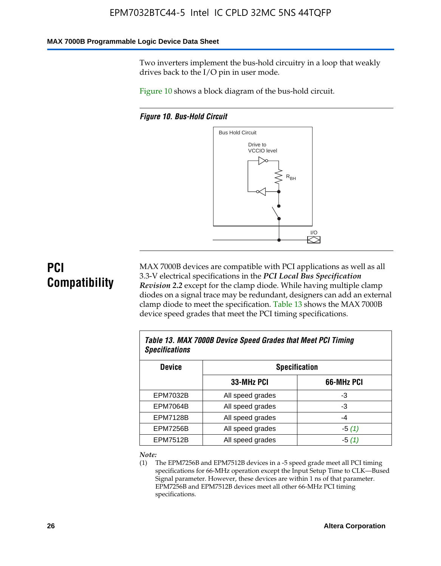#### **MAX 7000B Programmable Logic Device Data Sheet**

Two inverters implement the bus-hold circuitry in a loop that weakly drives back to the I/O pin in user mode.

Figure 10 shows a block diagram of the bus-hold circuit.

*Figure 10. Bus-Hold Circuit*



# **PCI Compatibility**

MAX 7000B devices are compatible with PCI applications as well as all 3.3-V electrical specifications in the *PCI Local Bus Specification Revision 2.2* except for the clamp diode. While having multiple clamp diodes on a signal trace may be redundant, designers can add an external clamp diode to meet the specification. Table 13 shows the MAX 7000B device speed grades that meet the PCI timing specifications.

| Table 13. MAX 7000B Device Speed Grades that Meet PCI Timing<br><b>Specifications</b> |                  |            |  |  |  |  |
|---------------------------------------------------------------------------------------|------------------|------------|--|--|--|--|
| <b>Device</b><br><b>Specification</b>                                                 |                  |            |  |  |  |  |
|                                                                                       | 33-MHz PCI       | 66-MHz PCI |  |  |  |  |
| EPM7032B                                                                              | All speed grades | -3         |  |  |  |  |
| <b>EPM7064B</b>                                                                       | All speed grades | -3         |  |  |  |  |
| <b>EPM7128B</b>                                                                       | All speed grades | $-4$       |  |  |  |  |
| <b>EPM7256B</b>                                                                       | All speed grades | $-5(1)$    |  |  |  |  |
| <b>EPM7512B</b>                                                                       | All speed grades | $-5(1)$    |  |  |  |  |

#### *Note:*

(1) The EPM7256B and EPM7512B devices in a -5 speed grade meet all PCI timing specifications for 66-MHz operation except the Input Setup Time to CLK—Bused Signal parameter. However, these devices are within 1 ns of that parameter. EPM7256B and EPM7512B devices meet all other 66-MHz PCI timing specifications.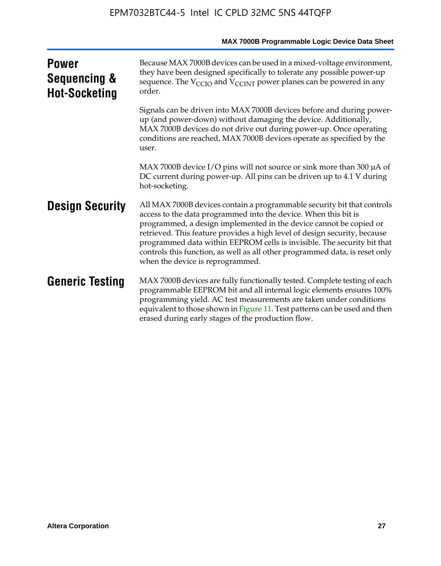| <b>Power</b><br>Sequencing &<br><b>Hot-Socketing</b> | Because MAX 7000B devices can be used in a mixed-voltage environment,<br>they have been designed specifically to tolerate any possible power-up<br>sequence. The $V_{\text{CCIO}}$ and $V_{\text{CCINT}}$ power planes can be powered in any<br>order.                                                                                                                                                                                                                                      |
|------------------------------------------------------|---------------------------------------------------------------------------------------------------------------------------------------------------------------------------------------------------------------------------------------------------------------------------------------------------------------------------------------------------------------------------------------------------------------------------------------------------------------------------------------------|
|                                                      | Signals can be driven into MAX 7000B devices before and during power-<br>up (and power-down) without damaging the device. Additionally,<br>MAX 7000B devices do not drive out during power-up. Once operating<br>conditions are reached, MAX 7000B devices operate as specified by the<br>user.                                                                                                                                                                                             |
|                                                      | MAX 7000B device I/O pins will not source or sink more than 300 µA of<br>DC current during power-up. All pins can be driven up to 4.1 V during<br>hot-socketing.                                                                                                                                                                                                                                                                                                                            |
| <b>Design Security</b>                               | All MAX 7000B devices contain a programmable security bit that controls<br>access to the data programmed into the device. When this bit is<br>programmed, a design implemented in the device cannot be copied or<br>retrieved. This feature provides a high level of design security, because<br>programmed data within EEPROM cells is invisible. The security bit that<br>controls this function, as well as all other programmed data, is reset only<br>when the device is reprogrammed. |
| <b>Generic Testing</b>                               | MAX 7000B devices are fully functionally tested. Complete testing of each<br>programmable EEPROM bit and all internal logic elements ensures 100%<br>programming yield. AC test measurements are taken under conditions<br>equivalent to those shown in Figure 11. Test patterns can be used and then<br>erased during early stages of the production flow.                                                                                                                                 |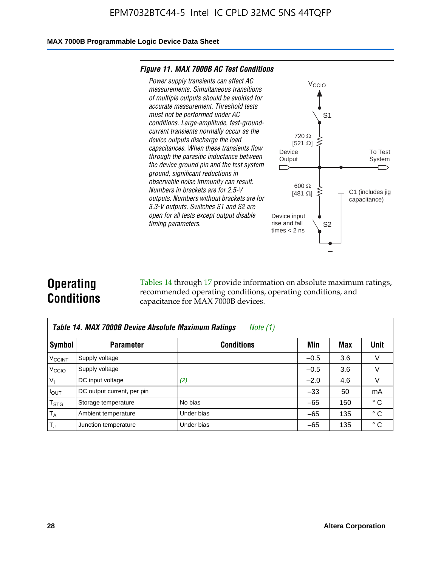#### **MAX 7000B Programmable Logic Device Data Sheet**

#### *Figure 11. MAX 7000B AC Test Conditions*



# **Operating Conditions**

Tables 14 through 17 provide information on absolute maximum ratings, recommended operating conditions, operating conditions, and capacitance for MAX 7000B devices.

| Table 14. MAX 7000B Device Absolute Maximum Ratings<br>Note (1) |                            |                   |        |     |              |  |  |  |
|-----------------------------------------------------------------|----------------------------|-------------------|--------|-----|--------------|--|--|--|
| Symbol                                                          | <b>Parameter</b>           | <b>Conditions</b> | Min    | Max | Unit         |  |  |  |
| <b>V<sub>CCINT</sub></b>                                        | Supply voltage             |                   | $-0.5$ | 3.6 | $\vee$       |  |  |  |
| V <sub>CCIO</sub>                                               | Supply voltage             |                   | $-0.5$ | 3.6 | $\vee$       |  |  |  |
| $V_{1}$                                                         | DC input voltage           | (2)               | $-2.0$ | 4.6 | V            |  |  |  |
| $I_{OUT}$                                                       | DC output current, per pin |                   | $-33$  | 50  | mA           |  |  |  |
| $T_{\text{STG}}$                                                | Storage temperature        | No bias           | $-65$  | 150 | $^{\circ}$ C |  |  |  |
| $T_A$                                                           | Ambient temperature        | Under bias        | $-65$  | 135 | ° C          |  |  |  |
| $T_{\rm J}$                                                     | Junction temperature       | Under bias        | $-65$  | 135 | ۰c           |  |  |  |

To Test System

 $\overline{\phantom{a}}$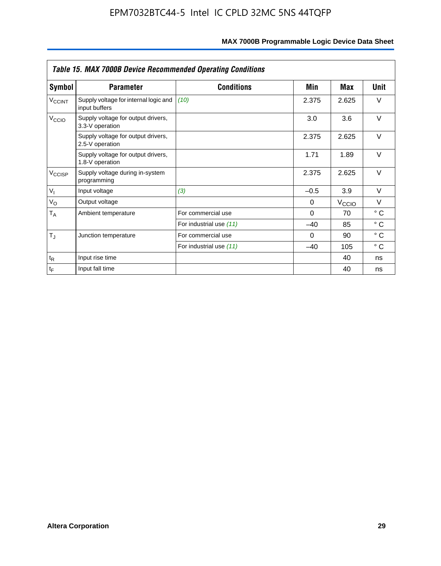| <b>Table 15. MAX 7000B Device Recommended Operating Conditions</b> |                                                        |                         |          |                   |              |  |  |
|--------------------------------------------------------------------|--------------------------------------------------------|-------------------------|----------|-------------------|--------------|--|--|
| Symbol                                                             | <b>Parameter</b>                                       | <b>Conditions</b>       | Min      | Max               | Unit         |  |  |
| <b>V<sub>CCINT</sub></b>                                           | Supply voltage for internal logic and<br>input buffers | (10)                    | 2.375    | 2.625             | $\vee$       |  |  |
| V <sub>CCIO</sub>                                                  | Supply voltage for output drivers,<br>3.3-V operation  |                         | 3.0      | 3.6               | $\vee$       |  |  |
|                                                                    | Supply voltage for output drivers,<br>2.5-V operation  |                         | 2.375    | 2.625             | $\vee$       |  |  |
|                                                                    | Supply voltage for output drivers,<br>1.8-V operation  |                         | 1.71     | 1.89              | $\vee$       |  |  |
| V <sub>CCISP</sub>                                                 | Supply voltage during in-system<br>programming         |                         | 2.375    | 2.625             | $\vee$       |  |  |
| $V_{I}$                                                            | Input voltage                                          | (3)                     | $-0.5$   | 3.9               | $\vee$       |  |  |
| $V_{\rm O}$                                                        | Output voltage                                         |                         | 0        | $V_{\text{CCLO}}$ | $\vee$       |  |  |
| $T_A$                                                              | Ambient temperature                                    | For commercial use      | $\Omega$ | 70                | $^{\circ}$ C |  |  |
|                                                                    |                                                        | For industrial use (11) | $-40$    | 85                | $^{\circ}$ C |  |  |
| $T_{\rm J}$                                                        | Junction temperature                                   | For commercial use      | $\Omega$ | 90                | $^{\circ}$ C |  |  |
|                                                                    |                                                        | For industrial use (11) | $-40$    | 105               | °C           |  |  |
| $t_{\mathsf{R}}$                                                   | Input rise time                                        |                         |          | 40                | ns           |  |  |
| $t_F$                                                              | Input fall time                                        |                         |          | 40                | ns           |  |  |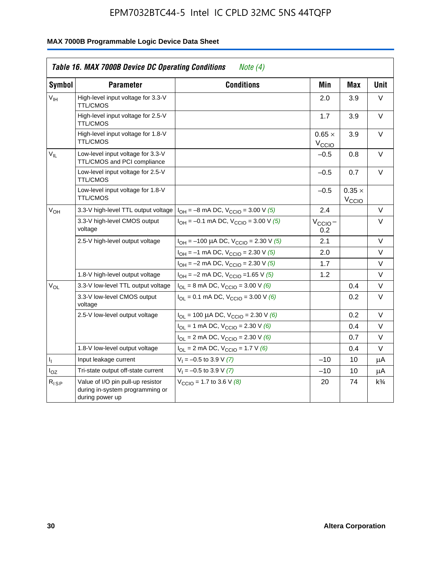|                 | <b>Table 16. MAX 7000B Device DC Operating Conditions</b>                               | Note $(4)$                                                                   |                                    |                                    |                |
|-----------------|-----------------------------------------------------------------------------------------|------------------------------------------------------------------------------|------------------------------------|------------------------------------|----------------|
| Symbol          | <b>Parameter</b>                                                                        | <b>Conditions</b>                                                            | Min                                | Max                                | <b>Unit</b>    |
| $V_{\text{IH}}$ | High-level input voltage for 3.3-V<br><b>TTL/CMOS</b>                                   |                                                                              | 2.0                                | 3.9                                | $\vee$         |
|                 | High-level input voltage for 2.5-V<br><b>TTL/CMOS</b>                                   |                                                                              | 1.7                                | 3.9                                | $\vee$         |
|                 | High-level input voltage for 1.8-V<br><b>TTL/CMOS</b>                                   |                                                                              | $0.65 \times$<br>V <sub>CCIO</sub> | 3.9                                | V              |
| $V_{IL}$        | Low-level input voltage for 3.3-V<br>TTL/CMOS and PCI compliance                        |                                                                              | $-0.5$                             | 0.8                                | V              |
|                 | Low-level input voltage for 2.5-V<br><b>TTL/CMOS</b>                                    |                                                                              | $-0.5$                             | 0.7                                | V              |
|                 | Low-level input voltage for 1.8-V<br><b>TTL/CMOS</b>                                    |                                                                              | $-0.5$                             | $0.35 \times$<br>V <sub>CCIO</sub> |                |
| $V_{OH}$        | 3.3-V high-level TTL output voltage                                                     | $I_{OH} = -8$ mA DC, $V_{CCIO} = 3.00$ V (5)                                 | 2.4                                |                                    | V              |
|                 | 3.3-V high-level CMOS output<br>voltage                                                 | $I_{OH} = -0.1$ mA DC, $V_{CClO} = 3.00$ V (5)                               | $V_{\text{CCIO}}-$<br>0.2          |                                    | V              |
|                 | 2.5-V high-level output voltage                                                         | $I_{OH}$ = -100 µA DC, $V_{CClO}$ = 2.30 V (5)                               | 2.1                                |                                    | $\vee$         |
|                 |                                                                                         | $I_{OH} = -1$ mA DC, $V_{CCIO} = 2.30$ V (5)                                 | 2.0                                |                                    | V              |
|                 |                                                                                         | $I_{OH} = -2$ mA DC, $V_{CCIO} = 2.30$ V (5)                                 | 1.7                                |                                    | V              |
|                 | 1.8-V high-level output voltage                                                         | $I_{OH} = -2$ mA DC, $V_{CClO} = 1.65$ V (5)                                 | 1.2                                |                                    | V              |
| $\rm V_{OL}$    | 3.3-V low-level TTL output voltage                                                      | $I_{OL}$ = 8 mA DC, $V_{CCIO}$ = 3.00 V (6)                                  |                                    | 0.4                                | V              |
|                 | 3.3-V low-level CMOS output<br>voltage                                                  | $I_{\text{OI}} = 0.1 \text{ mA DC}$ , $V_{\text{CClO}} = 3.00 \text{ V}$ (6) |                                    | 0.2                                | $\vee$         |
|                 | 2.5-V low-level output voltage                                                          | $I_{OL}$ = 100 µA DC, $V_{CCIO}$ = 2.30 V (6)                                |                                    | 0.2                                | $\vee$         |
|                 |                                                                                         | $I_{OL}$ = 1 mA DC, $V_{CCIO}$ = 2.30 V (6)                                  |                                    | 0.4                                | V              |
|                 |                                                                                         | $I_{OL}$ = 2 mA DC, $V_{CCIO}$ = 2.30 V (6)                                  |                                    | 0.7                                | V              |
|                 | 1.8-V low-level output voltage                                                          | $I_{OL}$ = 2 mA DC, $V_{CCIO}$ = 1.7 V (6)                                   |                                    | 0.4                                | V              |
| 4               | Input leakage current                                                                   | $V_1 = -0.5$ to 3.9 V (7)                                                    | $-10$                              | 10                                 | μA             |
| $I_{OZ}$        | Tri-state output off-state current                                                      | $V_1 = -0.5$ to 3.9 V (7)                                                    | $-10$                              | 10                                 | μA             |
| $R_{ISP}$       | Value of I/O pin pull-up resistor<br>during in-system programming or<br>during power up | $V_{\text{CCIO}} = 1.7$ to 3.6 V (8)                                         | 20                                 | 74                                 | $k\frac{3}{4}$ |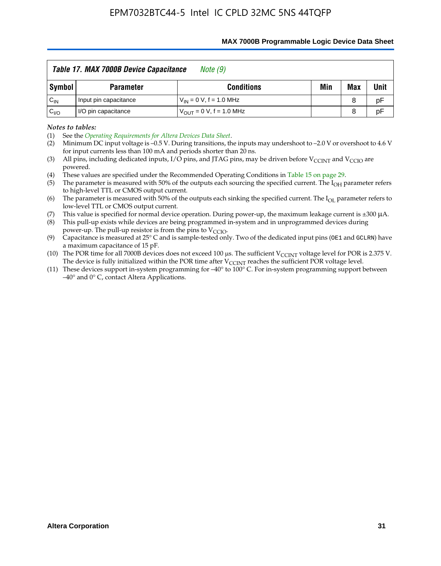#### **MAX 7000B Programmable Logic Device Data Sheet**

|          | Table 17. MAX 7000B Device Capacitance<br>Note (9) |                               |     |     |      |  |  |  |  |
|----------|----------------------------------------------------|-------------------------------|-----|-----|------|--|--|--|--|
| Symbol   | <b>Parameter</b>                                   | <b>Conditions</b>             | Min | Max | Unit |  |  |  |  |
| $C_{IN}$ | Input pin capacitance                              | $V_{IN} = 0 V$ , f = 1.0 MHz  |     | 8   | рF   |  |  |  |  |
| $C_{VO}$ | I/O pin capacitance                                | $V_{OUT} = 0 V$ , f = 1.0 MHz |     | 8   | рF   |  |  |  |  |

*Notes to tables:*

(3) All pins, including dedicated inputs, I/O pins, and JTAG pins, may be driven before V<sub>CCINT</sub> and V<sub>CCIO</sub> are powered.

(4) These values are specified under the Recommended Operating Conditions in Table 15 on page 29.

(5) The parameter is measured with 50% of the outputs each sourcing the specified current. The  $I_{OH}$  parameter refers to high-level TTL or CMOS output current.

(6) The parameter is measured with 50% of the outputs each sinking the specified current. The  $I_{OL}$  parameter refers to low-level TTL or CMOS output current.<br>This value is specified for normal device operation. During power-up, the maximum leakage current is ±300 µA.

(7) This value is specified for normal device operation. During power-up, the maximum leakage current is ±300 μA.

(8) This pull-up exists while devices are being programmed in-system and in unprogrammed devices during power-up. The pull-up resistor is from the pins to  $V_{\text{CCIO}}$ .

(9) Capacitance is measured at 25° C and is sample-tested only. Two of the dedicated input pins (OE1 and GCLRN) have a maximum capacitance of 15 pF.

(10) The POR time for all 7000B devices does not exceed 100 μs. The sufficient  $V_{\text{CCINT}}$  voltage level for POR is 2.375 V.

The device is fully initialized within the POR time after  $V_{\text{CCINT}}$  reaches the sufficient POR voltage level.<br>(11) These devices support in-system programming for  $-40^{\circ}$  to 100° C. For in-system programming support be –40° and 0° C, contact Altera Applications.

<sup>(1)</sup> See the *Operating Requirements for Altera Devices Data Sheet*.

<sup>(2)</sup> Minimum DC input voltage is –0.5 V. During transitions, the inputs may undershoot to –2.0 V or overshoot to 4.6 V for input currents less than 100 mA and periods shorter than  $20$  ns.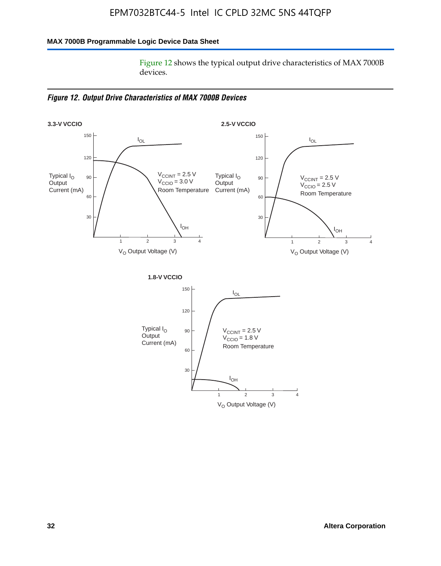### **MAX 7000B Programmable Logic Device Data Sheet**

Figure 12 shows the typical output drive characteristics of MAX 7000B devices.

*Figure 12. Output Drive Characteristics of MAX 7000B Devices*

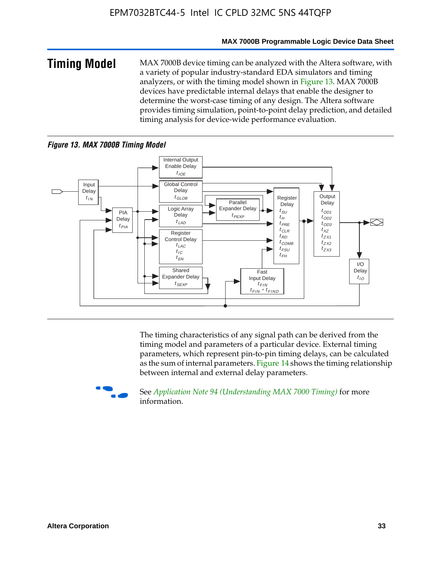#### **MAX 7000B Programmable Logic Device Data Sheet**

**Timing Model** MAX 7000B device timing can be analyzed with the Altera software, with a variety of popular industry-standard EDA simulators and timing analyzers, or with the timing model shown in Figure 13. MAX 7000B devices have predictable internal delays that enable the designer to determine the worst-case timing of any design. The Altera software provides timing simulation, point-to-point delay prediction, and detailed timing analysis for device-wide performance evaluation.

### *Figure 13. MAX 7000B Timing Model*



The timing characteristics of any signal path can be derived from the timing model and parameters of a particular device. External timing parameters, which represent pin-to-pin timing delays, can be calculated as the sum of internal parameters. Figure 14 shows the timing relationship between internal and external delay parameters.



f See *Application Note 94 (Understanding MAX 7000 Timing)* for more information.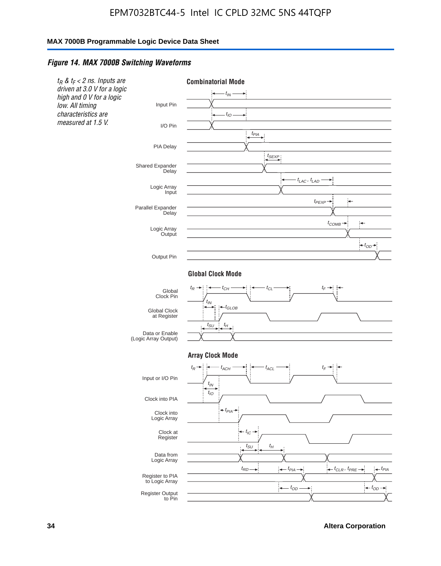#### *Figure 14. MAX 7000B Switching Waveforms*



**34 Altera Corporation**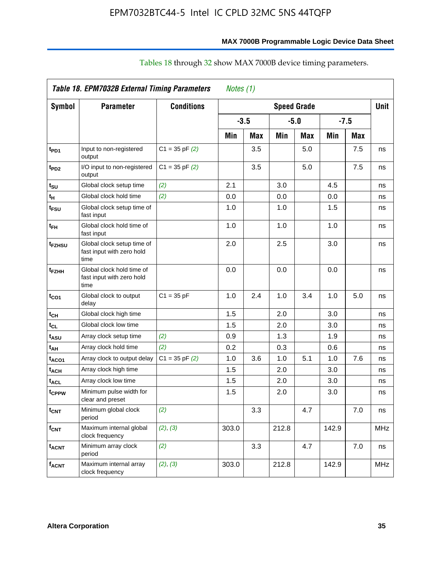### **MAX 7000B Programmable Logic Device Data Sheet**

|                              | Table 18. EPM7032B External Timing Parameters<br>Notes (1)      |                    |       |        |       |                    |       |        |             |  |
|------------------------------|-----------------------------------------------------------------|--------------------|-------|--------|-------|--------------------|-------|--------|-------------|--|
| <b>Symbol</b>                | <b>Parameter</b>                                                | <b>Conditions</b>  |       |        |       | <b>Speed Grade</b> |       |        | <b>Unit</b> |  |
|                              |                                                                 |                    |       | $-3.5$ |       | $-5.0$             |       | $-7.5$ |             |  |
|                              |                                                                 |                    | Min   | Max    | Min   | <b>Max</b>         | Min   | Max    |             |  |
| t <sub>PD1</sub>             | Input to non-registered<br>output                               | $C1 = 35$ pF $(2)$ |       | 3.5    |       | 5.0                |       | 7.5    | ns          |  |
| t <sub>PD2</sub>             | I/O input to non-registered<br>output                           | $C1 = 35$ pF $(2)$ |       | 3.5    |       | 5.0                |       | 7.5    | ns          |  |
| tsu                          | Global clock setup time                                         | (2)                | 2.1   |        | 3.0   |                    | 4.5   |        | ns          |  |
| tμ                           | Global clock hold time                                          | (2)                | 0.0   |        | 0.0   |                    | 0.0   |        | ns          |  |
| t <sub>FSU</sub>             | Global clock setup time of<br>fast input                        |                    | 1.0   |        | 1.0   |                    | 1.5   |        | ns          |  |
| $t_{FH}$                     | Global clock hold time of<br>fast input                         |                    | 1.0   |        | 1.0   |                    | 1.0   |        | ns          |  |
| t <sub>FZHSU</sub>           | Global clock setup time of<br>fast input with zero hold<br>time |                    | 2.0   |        | 2.5   |                    | 3.0   |        | ns          |  |
| t <sub>FZHH</sub>            | Global clock hold time of<br>fast input with zero hold<br>time  |                    | 0.0   |        | 0.0   |                    | 0.0   |        | ns          |  |
| $t_{CO1}$                    | Global clock to output<br>delay                                 | $C1 = 35 pF$       | 1.0   | 2.4    | 1.0   | 3.4                | 1.0   | 5.0    | ns          |  |
| $t_{CH}$                     | Global clock high time                                          |                    | 1.5   |        | 2.0   |                    | 3.0   |        | ns          |  |
| $\mathfrak{t}_{\texttt{CL}}$ | Global clock low time                                           |                    | 1.5   |        | 2.0   |                    | 3.0   |        | ns          |  |
| t <sub>ASU</sub>             | Array clock setup time                                          | (2)                | 0.9   |        | 1.3   |                    | 1.9   |        | ns          |  |
| t <sub>АН</sub>              | Array clock hold time                                           | (2)                | 0.2   |        | 0.3   |                    | 0.6   |        | ns          |  |
| t <sub>ACO1</sub>            | Array clock to output delay                                     | $C1 = 35 pF(2)$    | 1.0   | 3.6    | 1.0   | 5.1                | 1.0   | 7.6    | ns          |  |
| t <sub>ACH</sub>             | Array clock high time                                           |                    | 1.5   |        | 2.0   |                    | 3.0   |        | ns          |  |
| <sup>t</sup> ACL             | Array clock low time                                            |                    | 1.5   |        | 2.0   |                    | 3.0   |        | ns          |  |
| t <sub>CPPW</sub>            | Minimum pulse width for<br>clear and preset                     |                    | 1.5   |        | 2.0   |                    | 3.0   |        | ns          |  |
| t <sub>CNT</sub>             | Minimum global clock<br>period                                  | (2)                |       | 3.3    |       | 4.7                |       | 7.0    | ns          |  |
| $f_{CNT}$                    | Maximum internal global<br>clock frequency                      | (2), (3)           | 303.0 |        | 212.8 |                    | 142.9 |        | <b>MHz</b>  |  |
| <b>t<sub>ACNT</sub></b>      | Minimum array clock<br>period                                   | (2)                |       | 3.3    |       | 4.7                |       | 7.0    | ns          |  |
| <b>fACNT</b>                 | Maximum internal array<br>clock frequency                       | (2), (3)           | 303.0 |        | 212.8 |                    | 142.9 |        | <b>MHz</b>  |  |

### Tables 18 through 32 show MAX 7000B device timing parameters.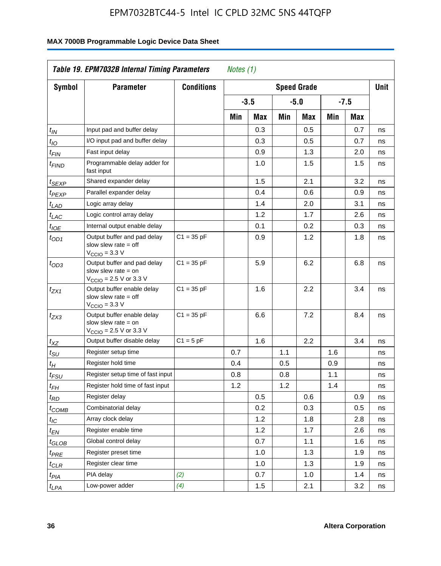| <b>Symbol</b>               | <b>Parameter</b>                                                                                           | <b>Conditions</b> |     |        |     | <b>Speed Grade</b> |     |            | <b>Unit</b> |
|-----------------------------|------------------------------------------------------------------------------------------------------------|-------------------|-----|--------|-----|--------------------|-----|------------|-------------|
|                             |                                                                                                            |                   |     | $-3.5$ |     | $-5.0$             |     | $-7.5$     |             |
|                             |                                                                                                            |                   | Min | Max    | Min | Max                | Min | <b>Max</b> |             |
| $t_{\mathsf{IN}}$           | Input pad and buffer delay                                                                                 |                   |     | 0.3    |     | 0.5                |     | 0.7        | ns          |
| $t_{IO}$                    | I/O input pad and buffer delay                                                                             |                   |     | 0.3    |     | 0.5                |     | 0.7        | ns          |
| $t_{\sf FIN}$               | Fast input delay                                                                                           |                   |     | 0.9    |     | 1.3                |     | 2.0        | ns          |
| <sup>t</sup> FIND           | Programmable delay adder for<br>fast input                                                                 |                   |     | 1.0    |     | 1.5                |     | 1.5        | ns          |
| t <sub>SEXP</sub>           | Shared expander delay                                                                                      |                   |     | 1.5    |     | 2.1                |     | 3.2        | ns          |
| t <sub>PEXP</sub>           | Parallel expander delay                                                                                    |                   |     | 0.4    |     | 0.6                |     | 0.9        | ns          |
| t <sub>LAD</sub>            | Logic array delay                                                                                          |                   |     | 1.4    |     | 2.0                |     | 3.1        | ns          |
| $t_{LAC}$                   | Logic control array delay                                                                                  |                   |     | 1.2    |     | 1.7                |     | 2.6        | ns          |
| $t_{\mathit{IOE}}$          | Internal output enable delay                                                                               |                   |     | 0.1    |     | 0.2                |     | 0.3        | ns          |
| $t_{OD1}$                   | Output buffer and pad delay<br>slow slew rate $=$ off<br>$VCCIO = 3.3 V$                                   | $C1 = 35 pF$      |     | 0.9    |     | 1.2                |     | 1.8        | ns          |
| $t_{OD3}$                   | Output buffer and pad delay<br>slow slew rate $=$ on<br>V <sub>CCIO</sub> = 2.5 V or 3.3 V                 | $C1 = 35 pF$      |     | 5.9    |     | 6.2                |     | 6.8        | ns          |
| $t_{ZX1}$                   | Output buffer enable delay<br>slow slew rate $=$ off<br>$V_{\text{CCIO}} = 3.3 \text{ V}$                  | $C1 = 35 pF$      |     | 1.6    |     | 2.2                |     | 3.4        | ns          |
| $t_{ZX3}$                   | Output buffer enable delay<br>slow slew rate $=$ on<br>$V_{\text{CCIO}} = 2.5 \text{ V or } 3.3 \text{ V}$ | $C1 = 35 pF$      |     | 6.6    |     | 7.2                |     | 8.4        | ns          |
| $t_{XZ}$                    | Output buffer disable delay                                                                                | $C1 = 5pF$        |     | 1.6    |     | 2.2                |     | 3.4        | ns          |
| $t_{\scriptstyle\text{SU}}$ | Register setup time                                                                                        |                   | 0.7 |        | 1.1 |                    | 1.6 |            | ns          |
| t <sub>Η</sub>              | Register hold time                                                                                         |                   | 0.4 |        | 0.5 |                    | 0.9 |            | ns          |
| $t_{\mathit{FSU}}$          | Register setup time of fast input                                                                          |                   | 0.8 |        | 0.8 |                    | 1.1 |            | ns          |
| t <sub>FH</sub>             | Register hold time of fast input                                                                           |                   | 1.2 |        | 1.2 |                    | 1.4 |            | ns          |
| $t_{RD}$                    | Register delay                                                                                             |                   |     | 0.5    |     | 0.6                |     | 0.9        | ns          |
| $t_{COMB}$                  | Combinatorial delay                                                                                        |                   |     | 0.2    |     | 0.3                |     | 0.5        | ns          |
| $t_{\mathcal{IC}}$          | Array clock delay                                                                                          |                   |     | 1.2    |     | 1.8                |     | 2.8        | ns          |
| $t_{EN}$                    | Register enable time                                                                                       |                   |     | 1.2    |     | 1.7                |     | 2.6        | ns          |
| t <sub>GLOB</sub>           | Global control delay                                                                                       |                   |     | 0.7    |     | 1.1                |     | 1.6        | ns          |
| $t_{PRE}$                   | Register preset time                                                                                       |                   |     | 1.0    |     | 1.3                |     | 1.9        | ns          |
| $t_{\text{CLR}}$            | Register clear time                                                                                        |                   |     | 1.0    |     | 1.3                |     | 1.9        | ns          |
| t <sub>PIA</sub>            | PIA delay                                                                                                  | (2)               |     | 0.7    |     | 1.0                |     | 1.4        | ns          |
| t <sub>LPA</sub>            | Low-power adder                                                                                            | (4)               |     | 1.5    |     | 2.1                |     | 3.2        | ns          |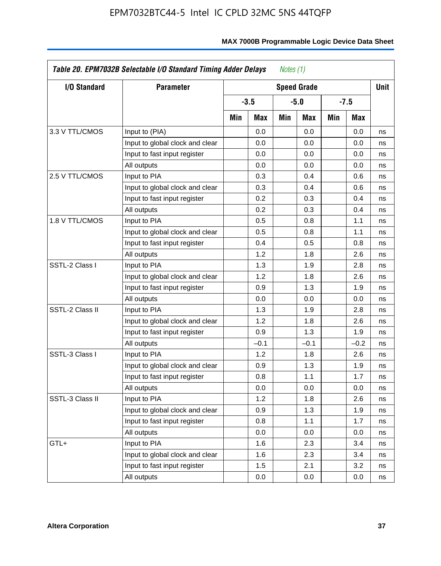| <b>I/O Standard</b> | <b>Parameter</b>                |     |        |     | <b>Speed Grade</b> |     |            | <b>Unit</b> |
|---------------------|---------------------------------|-----|--------|-----|--------------------|-----|------------|-------------|
|                     |                                 |     | $-3.5$ |     | -5.0               |     | $-7.5$     |             |
|                     |                                 | Min | Max    | Min | Max                | Min | <b>Max</b> |             |
| 3.3 V TTL/CMOS      | Input to (PIA)                  |     | 0.0    |     | 0.0                |     | 0.0        | ns          |
|                     | Input to global clock and clear |     | 0.0    |     | 0.0                |     | 0.0        | ns          |
|                     | Input to fast input register    |     | 0.0    |     | 0.0                |     | 0.0        | ns          |
|                     | All outputs                     |     | 0.0    |     | 0.0                |     | 0.0        | ns          |
| 2.5 V TTL/CMOS      | Input to PIA                    |     | 0.3    |     | 0.4                |     | 0.6        | ns          |
|                     | Input to global clock and clear |     | 0.3    |     | 0.4                |     | 0.6        | ns          |
|                     | Input to fast input register    |     | 0.2    |     | 0.3                |     | 0.4        | ns          |
|                     | All outputs                     |     | 0.2    |     | 0.3                |     | 0.4        | ns          |
| 1.8 V TTL/CMOS      | Input to PIA                    |     | 0.5    |     | 0.8                |     | 1.1        | ns          |
|                     | Input to global clock and clear |     | 0.5    |     | 0.8                |     | 1.1        | ns          |
|                     | Input to fast input register    |     | 0.4    |     | 0.5                |     | 0.8        | ns          |
|                     | All outputs                     |     | 1.2    |     | 1.8                |     | 2.6        | ns          |
| SSTL-2 Class I      | Input to PIA                    |     | 1.3    |     | 1.9                |     | 2.8        | ns          |
|                     | Input to global clock and clear |     | 1.2    |     | 1.8                |     | 2.6        | ns          |
|                     | Input to fast input register    |     | 0.9    |     | 1.3                |     | 1.9        | ns          |
|                     | All outputs                     |     | 0.0    |     | 0.0                |     | 0.0        | ns          |
| SSTL-2 Class II     | Input to PIA                    |     | 1.3    |     | 1.9                |     | 2.8        | ns          |
|                     | Input to global clock and clear |     | 1.2    |     | 1.8                |     | 2.6        | ns          |
|                     | Input to fast input register    |     | 0.9    |     | 1.3                |     | 1.9        | ns          |
|                     | All outputs                     |     | $-0.1$ |     | $-0.1$             |     | $-0.2$     | ns          |
| SSTL-3 Class I      | Input to PIA                    |     | 1.2    |     | 1.8                |     | 2.6        | ns          |
|                     | Input to global clock and clear |     | 0.9    |     | 1.3                |     | 1.9        | ns          |
|                     | Input to fast input register    |     | 0.8    |     | 1.1                |     | 1.7        | ns          |
|                     | All outputs                     |     | 0.0    |     | 0.0                |     | 0.0        | ns          |
| SSTL-3 Class II     | Input to PIA                    |     | 1.2    |     | 1.8                |     | 2.6        | ns          |
|                     | Input to global clock and clear |     | 0.9    |     | 1.3                |     | 1.9        | ns          |
|                     | Input to fast input register    |     | 0.8    |     | 1.1                |     | 1.7        | ns          |
|                     | All outputs                     |     | 0.0    |     | 0.0                |     | 0.0        | ns          |
| GTL+                | Input to PIA                    |     | 1.6    |     | 2.3                |     | 3.4        | ns          |
|                     | Input to global clock and clear |     | 1.6    |     | 2.3                |     | 3.4        | ns          |
|                     | Input to fast input register    |     | 1.5    |     | 2.1                |     | 3.2        | ns          |
|                     | All outputs                     |     | 0.0    |     | 0.0                |     | 0.0        | ns          |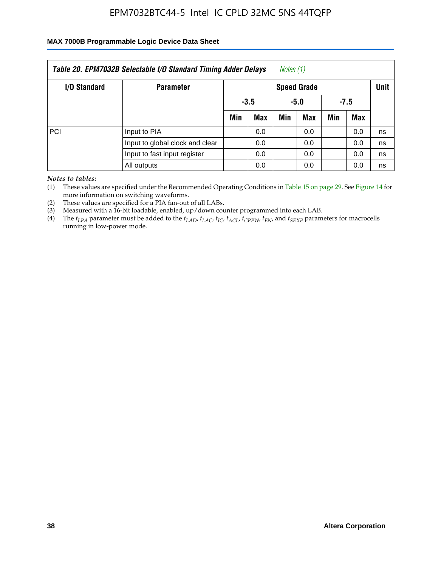### **MAX 7000B Programmable Logic Device Data Sheet**

| Table 20. EPM7032B Selectable I/O Standard Timing Adder Delays<br>Notes (1) |                                 |     |                            |     |            |     |     |    |  |
|-----------------------------------------------------------------------------|---------------------------------|-----|----------------------------|-----|------------|-----|-----|----|--|
| <b>I/O Standard</b>                                                         | <b>Parameter</b>                |     | <b>Speed Grade</b>         |     |            |     |     |    |  |
|                                                                             |                                 |     | $-3.5$<br>$-7.5$<br>$-5.0$ |     |            |     |     |    |  |
|                                                                             |                                 | Min | <b>Max</b>                 | Min | <b>Max</b> | Min | Max |    |  |
| PCI                                                                         | Input to PIA                    |     | 0.0                        |     | 0.0        |     | 0.0 | ns |  |
|                                                                             | Input to global clock and clear |     | 0.0                        |     | 0.0        |     | 0.0 | ns |  |
|                                                                             | Input to fast input register    | 0.0 |                            |     | 0.0        |     | 0.0 | ns |  |
|                                                                             | All outputs                     |     | 0.0                        |     | 0.0        |     | 0.0 | ns |  |

*Notes to tables:*

(1) These values are specified under the Recommended Operating Conditions in Table 15 on page 29. See Figure 14 for more information on switching waveforms.

(2) These values are specified for a PIA fan-out of all LABs.

(3) Measured with a 16-bit loadable, enabled, up/down counter programmed into each LAB.

(4) The *tLPA* parameter must be added to the *tLAD*, *tLAC*, *tIC*, *tACL*, *tCPPW*, *tEN*, and *tSEXP* parameters for macrocells running in low-power mode.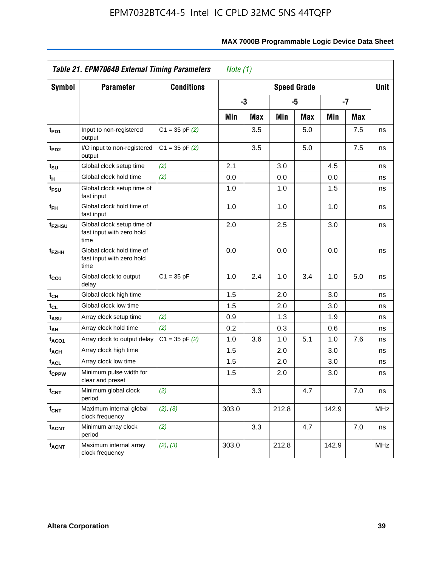|                             | Table 21. EPM7064B External Timing Parameters                   | Note $(1)$         |       |            |       |                    |       |            |             |
|-----------------------------|-----------------------------------------------------------------|--------------------|-------|------------|-------|--------------------|-------|------------|-------------|
| <b>Symbol</b>               | <b>Parameter</b>                                                | <b>Conditions</b>  |       |            |       | <b>Speed Grade</b> |       |            | <b>Unit</b> |
|                             |                                                                 |                    |       | -3         |       | -5                 |       | $-7$       |             |
|                             |                                                                 |                    | Min   | <b>Max</b> | Min   | <b>Max</b>         | Min   | <b>Max</b> |             |
| t <sub>PD1</sub>            | Input to non-registered<br>output                               | $C1 = 35$ pF $(2)$ |       | 3.5        |       | 5.0                |       | 7.5        | ns          |
| $t_{PD2}$                   | I/O input to non-registered<br>output                           | $C1 = 35$ pF $(2)$ |       | 3.5        |       | 5.0                |       | 7.5        | ns          |
| $t_{\text{SU}}$             | Global clock setup time                                         | (2)                | 2.1   |            | 3.0   |                    | 4.5   |            | ns          |
| $\mathfrak{t}_{\mathsf{H}}$ | Global clock hold time                                          | (2)                | 0.0   |            | 0.0   |                    | 0.0   |            | ns          |
| t <sub>FSU</sub>            | Global clock setup time of<br>fast input                        |                    | 1.0   |            | 1.0   |                    | 1.5   |            | ns          |
| t <sub>FH</sub>             | Global clock hold time of<br>fast input                         |                    | 1.0   |            | 1.0   |                    | 1.0   |            | ns          |
| t <sub>FZHSU</sub>          | Global clock setup time of<br>fast input with zero hold<br>time |                    | 2.0   |            | 2.5   |                    | 3.0   |            | ns          |
| t <sub>FZHH</sub>           | Global clock hold time of<br>fast input with zero hold<br>time  |                    | 0.0   |            | 0.0   |                    | 0.0   |            | ns          |
| $t_{CO1}$                   | Global clock to output<br>delay                                 | $C1 = 35 pF$       | 1.0   | 2.4        | 1.0   | 3.4                | 1.0   | 5.0        | ns          |
| $t_{\mathsf{CH}}$           | Global clock high time                                          |                    | 1.5   |            | 2.0   |                    | 3.0   |            | ns          |
| $t_{CL}$                    | Global clock low time                                           |                    | 1.5   |            | 2.0   |                    | 3.0   |            | ns          |
| t <sub>ASU</sub>            | Array clock setup time                                          | (2)                | 0.9   |            | 1.3   |                    | 1.9   |            | ns          |
| t <sub>АН</sub>             | Array clock hold time                                           | (2)                | 0.2   |            | 0.3   |                    | 0.6   |            | ns          |
| t <sub>ACO1</sub>           | Array clock to output delay                                     | $C1 = 35$ pF $(2)$ | 1.0   | 3.6        | 1.0   | 5.1                | 1.0   | 7.6        | ns          |
| t <sub>ACH</sub>            | Array clock high time                                           |                    | 1.5   |            | 2.0   |                    | 3.0   |            | ns          |
| <b>t<sub>ACL</sub></b>      | Array clock low time                                            |                    | 1.5   |            | 2.0   |                    | 3.0   |            | ns          |
| t <sub>CPPW</sub>           | Minimum pulse width for<br>clear and preset                     |                    | 1.5   |            | 2.0   |                    | 3.0   |            | ns          |
| $t_{\text{CNT}}$            | Minimum global clock<br>period                                  | (2)                |       | 3.3        |       | 4.7                |       | 7.0        | ns          |
| $f_{\mathsf{CNT}}$          | Maximum internal global<br>clock frequency                      | (2), (3)           | 303.0 |            | 212.8 |                    | 142.9 |            | <b>MHz</b>  |
| <b>t<sub>ACNT</sub></b>     | Minimum array clock<br>period                                   | (2)                |       | 3.3        |       | 4.7                |       | 7.0        | ns          |
| <b>f<sub>ACNT</sub></b>     | Maximum internal array<br>clock frequency                       | (2), (3)           | 303.0 |            | 212.8 |                    | 142.9 |            | <b>MHz</b>  |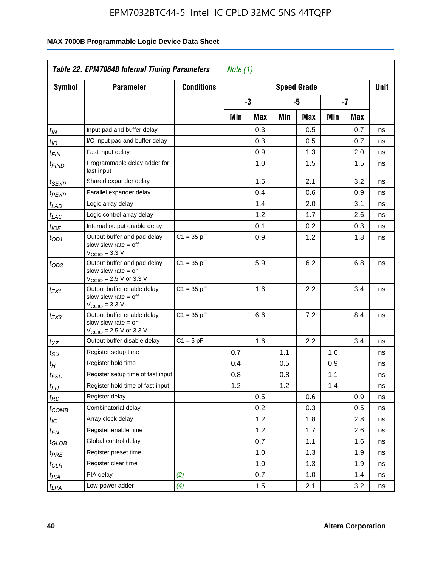| <b>Symbol</b>               | <b>Parameter</b>                                                                                           | <b>Conditions</b> |     |     |     | <b>Speed Grade</b> |     |            | <b>Unit</b> |
|-----------------------------|------------------------------------------------------------------------------------------------------------|-------------------|-----|-----|-----|--------------------|-----|------------|-------------|
|                             |                                                                                                            |                   |     | -3  |     | -5                 |     | -7         |             |
|                             |                                                                                                            |                   | Min | Max | Min | Max                | Min | <b>Max</b> |             |
| $t_{\mathit{IN}}$           | Input pad and buffer delay                                                                                 |                   |     | 0.3 |     | 0.5                |     | 0.7        | ns          |
| $t_{IO}$                    | I/O input pad and buffer delay                                                                             |                   |     | 0.3 |     | 0.5                |     | 0.7        | ns          |
| $t_{\sf FIN}$               | Fast input delay                                                                                           |                   |     | 0.9 |     | 1.3                |     | 2.0        | ns          |
| <sup>t</sup> FIND           | Programmable delay adder for<br>fast input                                                                 |                   |     | 1.0 |     | 1.5                |     | 1.5        | ns          |
| t <sub>SEXP</sub>           | Shared expander delay                                                                                      |                   |     | 1.5 |     | 2.1                |     | 3.2        | ns          |
| t <sub>PEXP</sub>           | Parallel expander delay                                                                                    |                   |     | 0.4 |     | 0.6                |     | 0.9        | ns          |
| t <sub>LAD</sub>            | Logic array delay                                                                                          |                   |     | 1.4 |     | 2.0                |     | 3.1        | ns          |
| $t_{LAC}$                   | Logic control array delay                                                                                  |                   |     | 1.2 |     | 1.7                |     | 2.6        | ns          |
| $t_{\mathit{IOE}}$          | Internal output enable delay                                                                               |                   |     | 0.1 |     | 0.2                |     | 0.3        | ns          |
| $t_{OD1}$                   | Output buffer and pad delay<br>slow slew rate $=$ off<br>$VCCIO = 3.3 V$                                   | $C1 = 35 pF$      |     | 0.9 |     | 1.2                |     | 1.8        | ns          |
| $t_{OD3}$                   | Output buffer and pad delay<br>slow slew rate $=$ on<br>V <sub>CCIO</sub> = 2.5 V or 3.3 V                 | $C1 = 35 pF$      |     | 5.9 |     | 6.2                |     | 6.8        | ns          |
| $t_{ZX1}$                   | Output buffer enable delay<br>slow slew rate $=$ off<br>$V_{\text{CCIO}} = 3.3 \text{ V}$                  | $C1 = 35 pF$      |     | 1.6 |     | 2.2                |     | 3.4        | ns          |
| $t_{ZX3}$                   | Output buffer enable delay<br>slow slew rate $=$ on<br>$V_{\text{CCIO}} = 2.5 \text{ V or } 3.3 \text{ V}$ | $C1 = 35 pF$      |     | 6.6 |     | 7.2                |     | 8.4        | ns          |
| $t_{XZ}$                    | Output buffer disable delay                                                                                | $C1 = 5pF$        |     | 1.6 |     | 2.2                |     | 3.4        | ns          |
| $t_{\scriptstyle\text{SU}}$ | Register setup time                                                                                        |                   | 0.7 |     | 1.1 |                    | 1.6 |            | ns          |
| t <sub>Η</sub>              | Register hold time                                                                                         |                   | 0.4 |     | 0.5 |                    | 0.9 |            | ns          |
| $t_{\mathit{FSU}}$          | Register setup time of fast input                                                                          |                   | 0.8 |     | 0.8 |                    | 1.1 |            | ns          |
| t <sub>FH</sub>             | Register hold time of fast input                                                                           |                   | 1.2 |     | 1.2 |                    | 1.4 |            | ns          |
| $t_{RD}$                    | Register delay                                                                                             |                   |     | 0.5 |     | 0.6                |     | 0.9        | ns          |
| $t_{COMB}$                  | Combinatorial delay                                                                                        |                   |     | 0.2 |     | 0.3                |     | 0.5        | ns          |
| $t_{\mathcal{IC}}$          | Array clock delay                                                                                          |                   |     | 1.2 |     | 1.8                |     | 2.8        | ns          |
| $t_{EN}$                    | Register enable time                                                                                       |                   |     | 1.2 |     | 1.7                |     | 2.6        | ns          |
| t <sub>GLOB</sub>           | Global control delay                                                                                       |                   |     | 0.7 |     | 1.1                |     | 1.6        | ns          |
| $t_{PRE}$                   | Register preset time                                                                                       |                   |     | 1.0 |     | 1.3                |     | 1.9        | ns          |
| $t_{\sf CLR}$               | Register clear time                                                                                        |                   |     | 1.0 |     | 1.3                |     | 1.9        | ns          |
| t <sub>PIA</sub>            | PIA delay                                                                                                  | (2)               |     | 0.7 |     | 1.0                |     | 1.4        | ns          |
| t <sub>LPA</sub>            | Low-power adder                                                                                            | (4)               |     | 1.5 |     | 2.1                |     | 3.2        | ns          |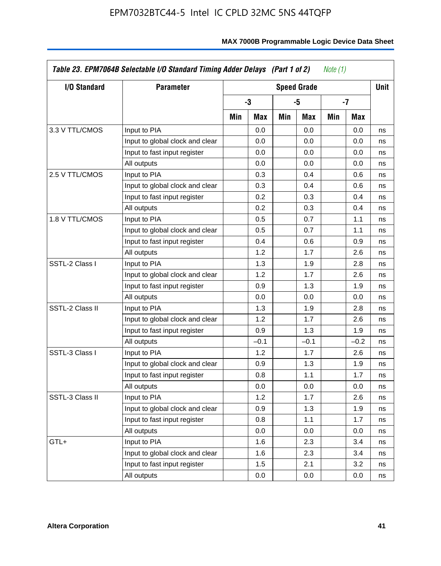| I/O Standard    | <b>Parameter</b>                |     |        |     | <b>Speed Grade</b> |     |        | <b>Unit</b> |
|-----------------|---------------------------------|-----|--------|-----|--------------------|-----|--------|-------------|
|                 |                                 |     | -3     |     | -5                 |     | -7     |             |
|                 |                                 | Min | Max    | Min | Max                | Min | Max    |             |
| 3.3 V TTL/CMOS  | Input to PIA                    |     | 0.0    |     | 0.0                |     | 0.0    | ns          |
|                 | Input to global clock and clear |     | 0.0    |     | 0.0                |     | 0.0    | ns          |
|                 | Input to fast input register    |     | 0.0    |     | 0.0                |     | 0.0    | ns          |
|                 | All outputs                     |     | 0.0    |     | 0.0                |     | 0.0    | ns          |
| 2.5 V TTL/CMOS  | Input to PIA                    |     | 0.3    |     | 0.4                |     | 0.6    | ns          |
|                 | Input to global clock and clear |     | 0.3    |     | 0.4                |     | 0.6    | ns          |
|                 | Input to fast input register    |     | 0.2    |     | 0.3                |     | 0.4    | ns          |
|                 | All outputs                     |     | 0.2    |     | 0.3                |     | 0.4    | ns          |
| 1.8 V TTL/CMOS  | Input to PIA                    |     | 0.5    |     | 0.7                |     | 1.1    | ns          |
|                 | Input to global clock and clear |     | 0.5    |     | 0.7                |     | 1.1    | ns          |
|                 | Input to fast input register    |     | 0.4    |     | 0.6                |     | 0.9    | ns          |
|                 | All outputs                     |     | 1.2    |     | 1.7                |     | 2.6    | ns          |
| SSTL-2 Class I  | Input to PIA                    |     | 1.3    |     | 1.9                |     | 2.8    | ns          |
|                 | Input to global clock and clear |     | 1.2    |     | 1.7                |     | 2.6    | ns          |
|                 | Input to fast input register    |     | 0.9    |     | 1.3                |     | 1.9    | ns          |
|                 | All outputs                     |     | 0.0    |     | 0.0                |     | 0.0    | ns          |
| SSTL-2 Class II | Input to PIA                    |     | 1.3    |     | 1.9                |     | 2.8    | ns          |
|                 | Input to global clock and clear |     | 1.2    |     | 1.7                |     | 2.6    | ns          |
|                 | Input to fast input register    |     | 0.9    |     | 1.3                |     | 1.9    | ns          |
|                 | All outputs                     |     | $-0.1$ |     | $-0.1$             |     | $-0.2$ | ns          |
| SSTL-3 Class I  | Input to PIA                    |     | 1.2    |     | 1.7                |     | 2.6    | ns          |
|                 | Input to global clock and clear |     | 0.9    |     | 1.3                |     | 1.9    | ns          |
|                 | Input to fast input register    |     | 0.8    |     | 1.1                |     | 1.7    | ns          |
|                 | All outputs                     |     | 0.0    |     | 0.0                |     | 0.0    | ns          |
| SSTL-3 Class II | Input to PIA                    |     | 1.2    |     | 1.7                |     | 2.6    | ns          |
|                 | Input to global clock and clear |     | 0.9    |     | 1.3                |     | 1.9    | ns          |
|                 | Input to fast input register    |     | 0.8    |     | 1.1                |     | 1.7    | ns          |
|                 | All outputs                     |     | 0.0    |     | 0.0                |     | 0.0    | ns          |
| GTL+            | Input to PIA                    |     | 1.6    |     | 2.3                |     | 3.4    | ns          |
|                 | Input to global clock and clear |     | 1.6    |     | 2.3                |     | 3.4    | ns          |
|                 | Input to fast input register    |     | 1.5    |     | 2.1                |     | 3.2    | ns          |
|                 | All outputs                     |     | 0.0    |     | 0.0                |     | 0.0    | ns          |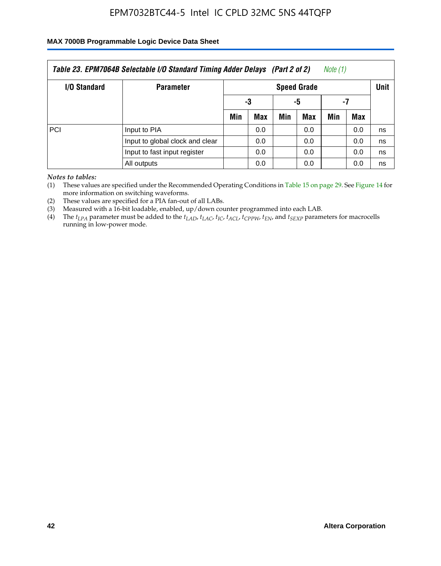### **MAX 7000B Programmable Logic Device Data Sheet**

| Note (1)<br>Table 23. EPM7064B Selectable I/O Standard Timing Adder Delays (Part 2 of 2) |                                 |                    |            |     |            |     |     |    |  |
|------------------------------------------------------------------------------------------|---------------------------------|--------------------|------------|-----|------------|-----|-----|----|--|
| I/O Standard                                                                             | <b>Parameter</b>                | <b>Speed Grade</b> |            |     |            |     |     |    |  |
|                                                                                          |                                 |                    | -3         | -5  |            | -7  |     |    |  |
|                                                                                          |                                 | Min                | <b>Max</b> | Min | <b>Max</b> | Min | Max |    |  |
| PCI                                                                                      | Input to PIA                    |                    | 0.0        |     | 0.0        |     | 0.0 | ns |  |
|                                                                                          | Input to global clock and clear |                    | 0.0        |     | 0.0        |     | 0.0 | ns |  |
|                                                                                          | Input to fast input register    |                    | 0.0        |     | 0.0        |     | 0.0 | ns |  |
|                                                                                          | All outputs                     |                    | 0.0        |     | 0.0        |     | 0.0 | ns |  |

*Notes to tables:*

(1) These values are specified under the Recommended Operating Conditions in Table 15 on page 29. See Figure 14 for more information on switching waveforms.

(2) These values are specified for a PIA fan-out of all LABs.

(3) Measured with a 16-bit loadable, enabled, up/down counter programmed into each LAB.

(4) The  $t_{LPA}$  parameter must be added to the  $t_{LAD}$ ,  $t_{LAC}$ ,  $t_{IC}$ ,  $t_{ACL}$ ,  $t_{CPPW}$ ,  $t_{EN}$ , and  $t_{SEXP}$  parameters for macrocells running in low-power mode.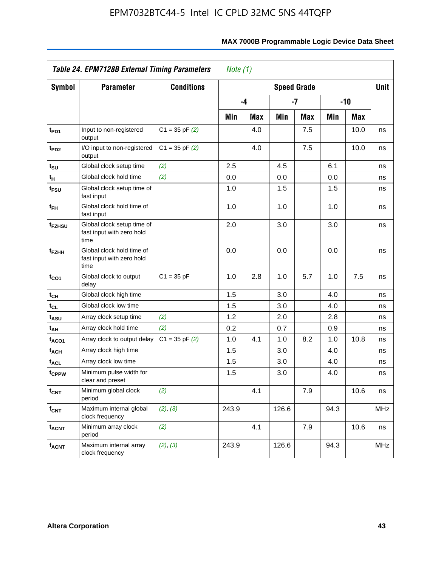|                             | <b>Table 24. EPM7128B External Timing Parameters</b><br>Note $(1)$ |                    |       |            |       |                    |      |       |            |
|-----------------------------|--------------------------------------------------------------------|--------------------|-------|------------|-------|--------------------|------|-------|------------|
| <b>Symbol</b>               | <b>Parameter</b>                                                   | <b>Conditions</b>  |       |            |       | <b>Speed Grade</b> |      |       | Unit       |
|                             |                                                                    |                    |       | -4         |       | -7                 |      | $-10$ |            |
|                             |                                                                    |                    | Min   | <b>Max</b> | Min   | Max                | Min  | Max   |            |
| t <sub>PD1</sub>            | Input to non-registered<br>output                                  | $C1 = 35$ pF $(2)$ |       | 4.0        |       | 7.5                |      | 10.0  | ns         |
| t <sub>PD2</sub>            | I/O input to non-registered<br>output                              | $C1 = 35$ pF $(2)$ |       | 4.0        |       | 7.5                |      | 10.0  | ns         |
| $t_{\text{SU}}$             | Global clock setup time                                            | (2)                | 2.5   |            | 4.5   |                    | 6.1  |       | ns         |
| $\mathfrak{t}_{\mathsf{H}}$ | Global clock hold time                                             | (2)                | 0.0   |            | 0.0   |                    | 0.0  |       | ns         |
| t <sub>FSU</sub>            | Global clock setup time of<br>fast input                           |                    | 1.0   |            | 1.5   |                    | 1.5  |       | ns         |
| $t_{FH}$                    | Global clock hold time of<br>fast input                            |                    | 1.0   |            | 1.0   |                    | 1.0  |       | ns         |
| t <sub>FZHSU</sub>          | Global clock setup time of<br>fast input with zero hold<br>time    |                    | 2.0   |            | 3.0   |                    | 3.0  |       | ns         |
| t <sub>FZHH</sub>           | Global clock hold time of<br>fast input with zero hold<br>time     |                    | 0.0   |            | 0.0   |                    | 0.0  |       | ns         |
| $t_{CO1}$                   | Global clock to output<br>delay                                    | $C1 = 35 pF$       | 1.0   | 2.8        | 1.0   | 5.7                | 1.0  | 7.5   | ns         |
| $t_{\text{CH}}$             | Global clock high time                                             |                    | 1.5   |            | 3.0   |                    | 4.0  |       | ns         |
| $t_{CL}$                    | Global clock low time                                              |                    | 1.5   |            | 3.0   |                    | 4.0  |       | ns         |
| t <sub>ASU</sub>            | Array clock setup time                                             | (2)                | 1.2   |            | 2.0   |                    | 2.8  |       | ns         |
| t <sub>AH</sub>             | Array clock hold time                                              | (2)                | 0.2   |            | 0.7   |                    | 0.9  |       | ns         |
| t <sub>ACO1</sub>           | Array clock to output delay                                        | $C1 = 35$ pF $(2)$ | 1.0   | 4.1        | 1.0   | 8.2                | 1.0  | 10.8  | ns         |
| t <sub>ACH</sub>            | Array clock high time                                              |                    | 1.5   |            | 3.0   |                    | 4.0  |       | ns         |
| <b>t<sub>ACL</sub></b>      | Array clock low time                                               |                    | 1.5   |            | 3.0   |                    | 4.0  |       | ns         |
| t <sub>CPPW</sub>           | Minimum pulse width for<br>clear and preset                        |                    | 1.5   |            | 3.0   |                    | 4.0  |       | ns         |
| $t_{\text{CNT}}$            | Minimum global clock<br>period                                     | (2)                |       | 4.1        |       | 7.9                |      | 10.6  | ns         |
| $f_{\text{CNT}}$            | Maximum internal global<br>clock frequency                         | (2), (3)           | 243.9 |            | 126.6 |                    | 94.3 |       | <b>MHz</b> |
| <b>t<sub>ACNT</sub></b>     | Minimum array clock<br>period                                      | (2)                |       | 4.1        |       | 7.9                |      | 10.6  | ns         |
| <b>f<sub>ACNT</sub></b>     | Maximum internal array<br>clock frequency                          | (2), (3)           | 243.9 |            | 126.6 |                    | 94.3 |       | <b>MHz</b> |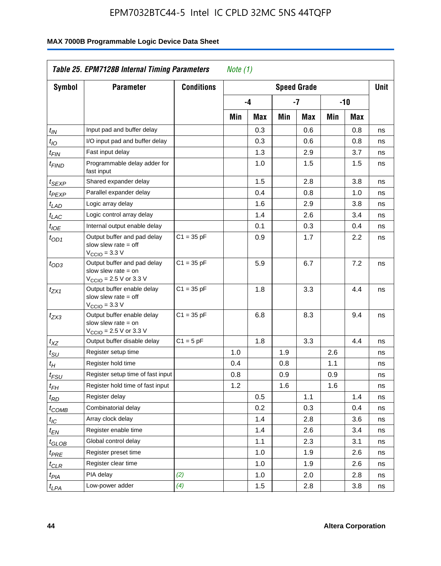| Symbol                        | <b>Parameter</b>                                                                                            | <b>Conditions</b> |     |     |     | <b>Speed Grade</b> |     |       | <b>Unit</b> |
|-------------------------------|-------------------------------------------------------------------------------------------------------------|-------------------|-----|-----|-----|--------------------|-----|-------|-------------|
|                               |                                                                                                             |                   |     | -4  |     | -7                 |     | $-10$ |             |
|                               |                                                                                                             |                   |     |     |     |                    |     |       |             |
|                               |                                                                                                             |                   | Min | Max | Min | Max                | Min | Max   |             |
| $t_{IN}$                      | Input pad and buffer delay                                                                                  |                   |     | 0.3 |     | 0.6                |     | 0.8   | ns          |
| $t_{IO}$                      | I/O input pad and buffer delay                                                                              |                   |     | 0.3 |     | 0.6                |     | 0.8   | ns          |
| $t_{\sf FIN}$                 | Fast input delay                                                                                            |                   |     | 1.3 |     | 2.9                |     | 3.7   | ns          |
| t <sub>FIND</sub>             | Programmable delay adder for<br>fast input                                                                  |                   |     | 1.0 |     | 1.5                |     | 1.5   | ns          |
| t <sub>SEXP</sub>             | Shared expander delay                                                                                       |                   |     | 1.5 |     | 2.8                |     | 3.8   | ns          |
| t <sub>PEXP</sub>             | Parallel expander delay                                                                                     |                   |     | 0.4 |     | 0.8                |     | 1.0   | ns          |
| t <sub>LAD</sub>              | Logic array delay                                                                                           |                   |     | 1.6 |     | 2.9                |     | 3.8   | ns          |
| $t_{LAC}$                     | Logic control array delay                                                                                   |                   |     | 1.4 |     | 2.6                |     | 3.4   | ns          |
| $t_{IOE}$                     | Internal output enable delay                                                                                |                   |     | 0.1 |     | 0.3                |     | 0.4   | ns          |
| $t_{OD1}$                     | Output buffer and pad delay<br>slow slew rate $=$ off<br>$V_{\text{CCIO}} = 3.3 V$                          | $C1 = 35 pF$      |     | 0.9 |     | 1.7                |     | 2.2   | ns          |
| $t_{OD3}$                     | Output buffer and pad delay<br>slow slew rate $=$ on<br>$V_{\text{CCIO}} = 2.5 \text{ V or } 3.3 \text{ V}$ | $C1 = 35 pF$      |     | 5.9 |     | 6.7                |     | 7.2   | ns          |
| tzx1                          | Output buffer enable delay<br>slow slew rate $=$ off<br>$V_{\text{CCIO}} = 3.3 \text{ V}$                   | $C1 = 35 pF$      |     | 1.8 |     | 3.3                |     | 4.4   | ns          |
| $t_{ZX3}$                     | Output buffer enable delay<br>slow slew rate $=$ on<br>$V_{\text{CCIO}} = 2.5 \text{ V or } 3.3 \text{ V}$  | $C1 = 35 pF$      |     | 6.8 |     | 8.3                |     | 9.4   | ns          |
| $t_{XZ}$                      | Output buffer disable delay                                                                                 | $C1 = 5pF$        |     | 1.8 |     | 3.3                |     | 4.4   | ns          |
| $t_{\scriptstyle\text{SU}}$   | Register setup time                                                                                         |                   | 1.0 |     | 1.9 |                    | 2.6 |       | ns          |
| $t_H$                         | Register hold time                                                                                          |                   | 0.4 |     | 0.8 |                    | 1.1 |       | ns          |
| $t_{FSU}$                     | Register setup time of fast input                                                                           |                   | 0.8 |     | 0.9 |                    | 0.9 |       | ns          |
| $t_{FH}$                      | Register hold time of fast input                                                                            |                   | 1.2 |     | 1.6 |                    | 1.6 |       | ns          |
| $t_{RD}$                      | Register delay                                                                                              |                   |     | 0.5 |     | 1.1                |     | 1.4   | ns          |
| $t_{\rm COMB}$                | Combinatorial delay                                                                                         |                   |     | 0.2 |     | 0.3                |     | 0.4   | ns          |
| $t_{\mathcal{IC}}$            | Array clock delay                                                                                           |                   |     | 1.4 |     | 2.8                |     | 3.6   | ns          |
| $t_{EN}$                      | Register enable time                                                                                        |                   |     | 1.4 |     | 2.6                |     | 3.4   | ns          |
| $t_{\scriptstyle\text{GLOB}}$ | Global control delay                                                                                        |                   |     | 1.1 |     | 2.3                |     | 3.1   | ns          |
| $t_{PRE}$                     | Register preset time                                                                                        |                   |     | 1.0 |     | 1.9                |     | 2.6   | ns          |
| ${}^t\rm{CLR}$                | Register clear time                                                                                         |                   |     | 1.0 |     | 1.9                |     | 2.6   | ns          |
| $t_{PIA}$                     | PIA delay                                                                                                   | (2)               |     | 1.0 |     | 2.0                |     | 2.8   | ns          |
| $t_{LPA}$                     | Low-power adder                                                                                             | (4)               |     | 1.5 |     | 2.8                |     | 3.8   | ns          |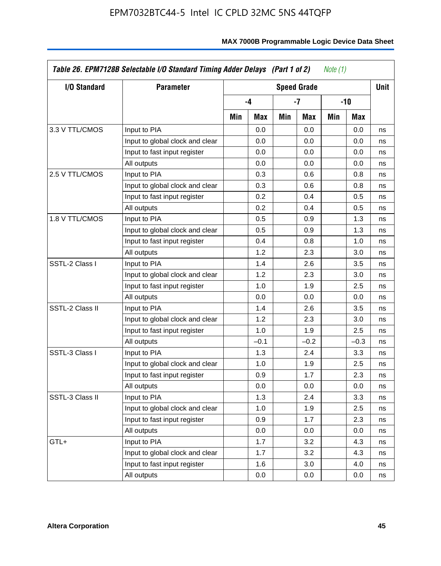| I/O Standard    | <b>Parameter</b>                | <b>Speed Grade</b> |        |     |        |     |        |    |  |
|-----------------|---------------------------------|--------------------|--------|-----|--------|-----|--------|----|--|
|                 |                                 |                    | $-4$   |     | -7     |     | -10    |    |  |
|                 |                                 | Min                | Max    | Min | Max    | Min | Max    |    |  |
| 3.3 V TTL/CMOS  | Input to PIA                    |                    | 0.0    |     | 0.0    |     | 0.0    | ns |  |
|                 | Input to global clock and clear |                    | 0.0    |     | 0.0    |     | 0.0    | ns |  |
|                 | Input to fast input register    |                    | 0.0    |     | 0.0    |     | 0.0    | ns |  |
|                 | All outputs                     |                    | 0.0    |     | 0.0    |     | 0.0    | ns |  |
| 2.5 V TTL/CMOS  | Input to PIA                    |                    | 0.3    |     | 0.6    |     | 0.8    | ns |  |
|                 | Input to global clock and clear |                    | 0.3    |     | 0.6    |     | 0.8    | ns |  |
|                 | Input to fast input register    |                    | 0.2    |     | 0.4    |     | 0.5    | ns |  |
|                 | All outputs                     |                    | 0.2    |     | 0.4    |     | 0.5    | ns |  |
| 1.8 V TTL/CMOS  | Input to PIA                    |                    | 0.5    |     | 0.9    |     | 1.3    | ns |  |
|                 | Input to global clock and clear |                    | 0.5    |     | 0.9    |     | 1.3    | ns |  |
|                 | Input to fast input register    |                    | 0.4    |     | 0.8    |     | 1.0    | ns |  |
|                 | All outputs                     |                    | 1.2    |     | 2.3    |     | 3.0    | ns |  |
| SSTL-2 Class I  | Input to PIA                    |                    | 1.4    |     | 2.6    |     | 3.5    | ns |  |
|                 | Input to global clock and clear |                    | 1.2    |     | 2.3    |     | 3.0    | ns |  |
|                 | Input to fast input register    |                    | 1.0    |     | 1.9    |     | 2.5    | ns |  |
|                 | All outputs                     |                    | 0.0    |     | 0.0    |     | 0.0    | ns |  |
| SSTL-2 Class II | Input to PIA                    |                    | 1.4    |     | 2.6    |     | 3.5    | ns |  |
|                 | Input to global clock and clear |                    | 1.2    |     | 2.3    |     | 3.0    | ns |  |
|                 | Input to fast input register    |                    | 1.0    |     | 1.9    |     | 2.5    | ns |  |
|                 | All outputs                     |                    | $-0.1$ |     | $-0.2$ |     | $-0.3$ | ns |  |
| SSTL-3 Class I  | Input to PIA                    |                    | 1.3    |     | 2.4    |     | 3.3    | ns |  |
|                 | Input to global clock and clear |                    | 1.0    |     | 1.9    |     | 2.5    | ns |  |
|                 | Input to fast input register    |                    | 0.9    |     | 1.7    |     | 2.3    | ns |  |
|                 | All outputs                     |                    | 0.0    |     | 0.0    |     | 0.0    | ns |  |
| SSTL-3 Class II | Input to PIA                    |                    | 1.3    |     | 2.4    |     | 3.3    | ns |  |
|                 | Input to global clock and clear |                    | 1.0    |     | 1.9    |     | 2.5    | ns |  |
|                 | Input to fast input register    |                    | 0.9    |     | 1.7    |     | 2.3    | ns |  |
|                 | All outputs                     |                    | 0.0    |     | 0.0    |     | 0.0    | ns |  |
| GTL+            | Input to PIA                    |                    | 1.7    |     | 3.2    |     | 4.3    | ns |  |
|                 | Input to global clock and clear |                    | 1.7    |     | 3.2    |     | 4.3    | ns |  |
|                 | Input to fast input register    |                    | 1.6    |     | 3.0    |     | 4.0    | ns |  |
|                 | All outputs                     |                    | 0.0    |     | 0.0    |     | 0.0    | ns |  |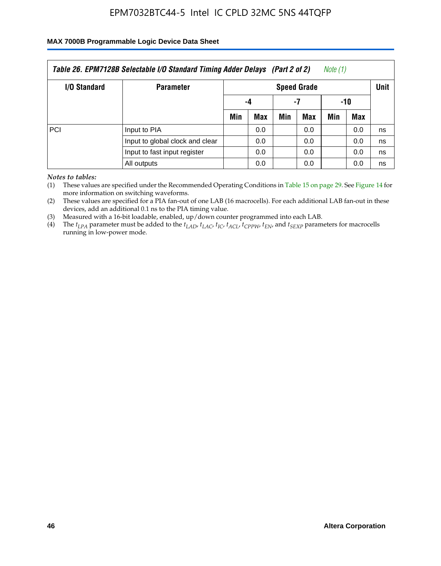#### **MAX 7000B Programmable Logic Device Data Sheet**

| Table 26. EPM7128B Selectable I/O Standard Timing Adder Delays (Part 2 of 2)<br>Note (1) |                                 |                                   |     |     |     |     |     |    |  |  |
|------------------------------------------------------------------------------------------|---------------------------------|-----------------------------------|-----|-----|-----|-----|-----|----|--|--|
| I/O Standard                                                                             | <b>Parameter</b>                | <b>Unit</b><br><b>Speed Grade</b> |     |     |     |     |     |    |  |  |
|                                                                                          |                                 |                                   | -4  | -7  |     | -10 |     |    |  |  |
|                                                                                          |                                 | Min                               | Max | Min | Max | Min | Max |    |  |  |
| PCI                                                                                      | Input to PIA                    |                                   | 0.0 |     | 0.0 |     | 0.0 | ns |  |  |
|                                                                                          | Input to global clock and clear |                                   | 0.0 |     | 0.0 |     | 0.0 | ns |  |  |
|                                                                                          | Input to fast input register    |                                   | 0.0 |     | 0.0 |     | 0.0 | ns |  |  |
|                                                                                          | All outputs                     |                                   | 0.0 |     | 0.0 |     | 0.0 | ns |  |  |

*Notes to tables:*

(1) These values are specified under the Recommended Operating Conditions in Table 15 on page 29. See Figure 14 for more information on switching waveforms.

(2) These values are specified for a PIA fan-out of one LAB (16 macrocells). For each additional LAB fan-out in these devices, add an additional 0.1 ns to the PIA timing value.

(3) Measured with a 16-bit loadable, enabled, up/down counter programmed into each LAB.

(4) The  $t_{LPA}$  parameter must be added to the  $t_{LAP}$ ,  $t_{LAC}$ ,  $t_{IC}$ ,  $t_{ACL}$ ,  $t_{CPPW}$ ,  $t_{EN}$ , and  $t_{SEXP}$  parameters for macrocells running in low-power mode.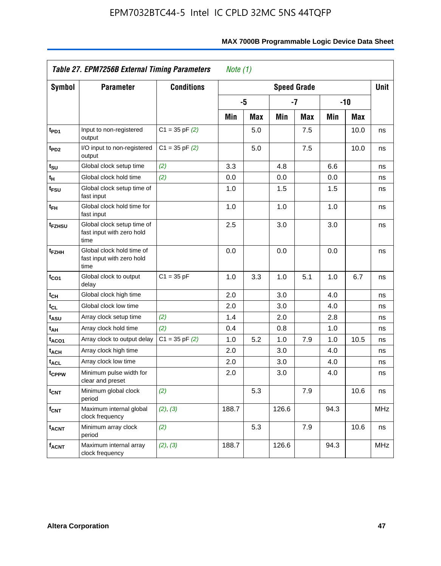|                             | Table 27. EPM7256B External Timing Parameters<br>Note $(1)$     |                    |                    |     |       |      |      |       |            |  |  |
|-----------------------------|-----------------------------------------------------------------|--------------------|--------------------|-----|-------|------|------|-------|------------|--|--|
| <b>Symbol</b>               | <b>Parameter</b>                                                | <b>Conditions</b>  | <b>Speed Grade</b> |     |       |      |      |       |            |  |  |
|                             |                                                                 |                    |                    | -5  |       | $-7$ |      | $-10$ |            |  |  |
|                             |                                                                 |                    | Min                | Max | Min   | Max  | Min  | Max   |            |  |  |
| t <sub>PD1</sub>            | Input to non-registered<br>output                               | $C1 = 35$ pF $(2)$ |                    | 5.0 |       | 7.5  |      | 10.0  | ns         |  |  |
| $t_{PD2}$                   | I/O input to non-registered<br>output                           | $C1 = 35 pF(2)$    |                    | 5.0 |       | 7.5  |      | 10.0  | ns         |  |  |
| t <sub>su</sub>             | Global clock setup time                                         | (2)                | 3.3                |     | 4.8   |      | 6.6  |       | ns         |  |  |
| $\mathfrak{t}_{\mathsf{H}}$ | Global clock hold time                                          | (2)                | 0.0                |     | 0.0   |      | 0.0  |       | ns         |  |  |
| t <sub>FSU</sub>            | Global clock setup time of<br>fast input                        |                    | 1.0                |     | 1.5   |      | 1.5  |       | ns         |  |  |
| t <sub>FH</sub>             | Global clock hold time for<br>fast input                        |                    | 1.0                |     | 1.0   |      | 1.0  |       | ns         |  |  |
| t <sub>FZHSU</sub>          | Global clock setup time of<br>fast input with zero hold<br>time |                    | 2.5                |     | 3.0   |      | 3.0  |       | ns         |  |  |
| t <sub>FZHH</sub>           | Global clock hold time of<br>fast input with zero hold<br>time  |                    | 0.0                |     | 0.0   |      | 0.0  |       | ns         |  |  |
| $t_{CO1}$                   | Global clock to output<br>delay                                 | $C1 = 35 pF$       | 1.0                | 3.3 | 1.0   | 5.1  | 1.0  | 6.7   | ns         |  |  |
| $t_{CH}$                    | Global clock high time                                          |                    | 2.0                |     | 3.0   |      | 4.0  |       | ns         |  |  |
| $t_{CL}$                    | Global clock low time                                           |                    | 2.0                |     | 3.0   |      | 4.0  |       | ns         |  |  |
| $t_{ASU}$                   | Array clock setup time                                          | (2)                | 1.4                |     | 2.0   |      | 2.8  |       | ns         |  |  |
| $t_{AH}$                    | Array clock hold time                                           | (2)                | 0.4                |     | 0.8   |      | 1.0  |       | ns         |  |  |
| t <sub>ACO1</sub>           | Array clock to output delay                                     | $C1 = 35$ pF $(2)$ | 1.0                | 5.2 | 1.0   | 7.9  | 1.0  | 10.5  | ns         |  |  |
| $t_{ACH}$                   | Array clock high time                                           |                    | 2.0                |     | 3.0   |      | 4.0  |       | ns         |  |  |
| t <sub>ACL</sub>            | Array clock low time                                            |                    | 2.0                |     | 3.0   |      | 4.0  |       | ns         |  |  |
| t <sub>CPPW</sub>           | Minimum pulse width for<br>clear and preset                     |                    | 2.0                |     | 3.0   |      | 4.0  |       | ns         |  |  |
| t <sub>CNT</sub>            | Minimum global clock<br>period                                  | (2)                |                    | 5.3 |       | 7.9  |      | 10.6  | ns         |  |  |
| $f_{\mathsf{CNT}}$          | Maximum internal global<br>clock frequency                      | (2), (3)           | 188.7              |     | 126.6 |      | 94.3 |       | <b>MHz</b> |  |  |
| $t_{ACNT}$                  | Minimum array clock<br>period                                   | (2)                |                    | 5.3 |       | 7.9  |      | 10.6  | ns         |  |  |
| <b>f<sub>ACNT</sub></b>     | Maximum internal array<br>clock frequency                       | (2), (3)           | 188.7              |     | 126.6 |      | 94.3 |       | <b>MHz</b> |  |  |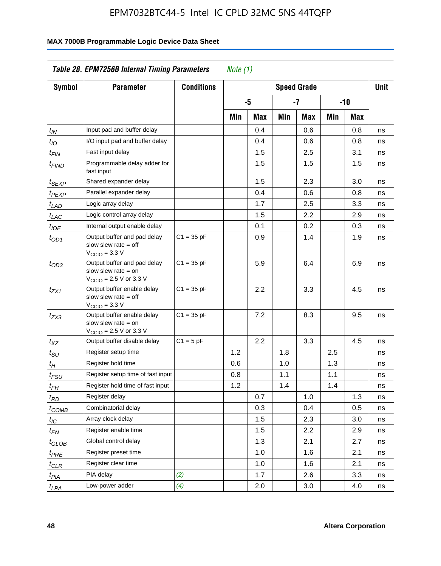| <b>Symbol</b>         | <b>Parameter</b>                                                                                            | <b>Conditions</b> |     |     |     | <b>Speed Grade</b> |     |     | <b>Unit</b> |
|-----------------------|-------------------------------------------------------------------------------------------------------------|-------------------|-----|-----|-----|--------------------|-----|-----|-------------|
|                       |                                                                                                             |                   |     | -5  |     | $-7$               | -10 |     |             |
|                       |                                                                                                             |                   | Min | Max | Min | Max                | Min | Max |             |
| $t_{\mathit{IN}}$     | Input pad and buffer delay                                                                                  |                   |     | 0.4 |     | 0.6                |     | 0.8 | ns          |
| $t_{IO}$              | I/O input pad and buffer delay                                                                              |                   |     | 0.4 |     | 0.6                |     | 0.8 | ns          |
| $t_{\sf FIN}$         | Fast input delay                                                                                            |                   |     | 1.5 |     | 2.5                |     | 3.1 | ns          |
| t <sub>FIND</sub>     | Programmable delay adder for<br>fast input                                                                  |                   |     | 1.5 |     | 1.5                |     | 1.5 | ns          |
| t <sub>SEXP</sub>     | Shared expander delay                                                                                       |                   |     | 1.5 |     | 2.3                |     | 3.0 | ns          |
| t <sub>PEXP</sub>     | Parallel expander delay                                                                                     |                   |     | 0.4 |     | 0.6                |     | 0.8 | ns          |
| t <sub>LAD</sub>      | Logic array delay                                                                                           |                   |     | 1.7 |     | 2.5                |     | 3.3 | ns          |
| t <sub>LAC</sub>      | Logic control array delay                                                                                   |                   |     | 1.5 |     | $2.2\,$            |     | 2.9 | ns          |
| $t_{\mathit{IOE}}$    | Internal output enable delay                                                                                |                   |     | 0.1 |     | 0.2                |     | 0.3 | ns          |
| $t_{OD1}$             | Output buffer and pad delay<br>slow slew rate $=$ off<br>$V_{\text{CCIO}} = 3.3 \text{ V}$                  | $C1 = 35 pF$      |     | 0.9 |     | 1.4                |     | 1.9 | ns          |
| $t_{OD3}$             | Output buffer and pad delay<br>slow slew rate $=$ on<br>$V_{\text{CCIO}} = 2.5 \text{ V or } 3.3 \text{ V}$ | $C1 = 35 pF$      |     | 5.9 |     | 6.4                |     | 6.9 | ns          |
| t <sub>ZX1</sub>      | Output buffer enable delay<br>slow slew rate $=$ off<br>$V_{\text{CCIO}} = 3.3 \text{ V}$                   | $C1 = 35 pF$      |     | 2.2 |     | 3.3                |     | 4.5 | ns          |
| $t_{ZX3}$             | Output buffer enable delay<br>slow slew rate $=$ on<br>$V_{\text{CCIO}} = 2.5 \text{ V or } 3.3 \text{ V}$  | $C1 = 35 pF$      |     | 7.2 |     | 8.3                |     | 9.5 | ns          |
| $t_{XZ}$              | Output buffer disable delay                                                                                 | $C1 = 5pF$        |     | 2.2 |     | 3.3                |     | 4.5 | ns          |
| $t_{\text{SU}}$       | Register setup time                                                                                         |                   | 1.2 |     | 1.8 |                    | 2.5 |     | ns          |
| $t_H$                 | Register hold time                                                                                          |                   | 0.6 |     | 1.0 |                    | 1.3 |     | ns          |
| $t_{FSU}$             | Register setup time of fast input                                                                           |                   | 0.8 |     | 1.1 |                    | 1.1 |     | ns          |
| $t_{FH}$              | Register hold time of fast input                                                                            |                   | 1.2 |     | 1.4 |                    | 1.4 |     | ns          |
| $t_{RD}$              | Register delay                                                                                              |                   |     | 0.7 |     | 1.0                |     | 1.3 | ns          |
| $t_{COMB}$            | Combinatorial delay                                                                                         |                   |     | 0.3 |     | 0.4                |     | 0.5 | ns          |
| $t_{\mathcal{IC}}$    | Array clock delay                                                                                           |                   |     | 1.5 |     | 2.3                |     | 3.0 | ns          |
| $t_{EN}$              | Register enable time                                                                                        |                   |     | 1.5 |     | $2.2\,$            |     | 2.9 | ns          |
| t <sub>GLOB</sub>     | Global control delay                                                                                        |                   |     | 1.3 |     | 2.1                |     | 2.7 | ns          |
| $t_{PRE}$             | Register preset time                                                                                        |                   |     | 1.0 |     | 1.6                |     | 2.1 | ns          |
| ${}^t\rm{CLR}$        | Register clear time                                                                                         |                   |     | 1.0 |     | 1.6                |     | 2.1 | ns          |
| $t_{PI\underline{A}}$ | PIA delay                                                                                                   | (2)               |     | 1.7 |     | 2.6                |     | 3.3 | ns          |
| $t_{LPA}$             | Low-power adder                                                                                             | (4)               |     | 2.0 |     | 3.0                |     | 4.0 | ns          |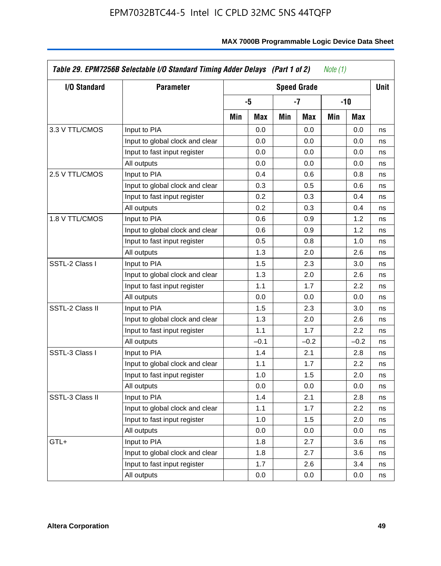| I/O Standard    | <b>Parameter</b>                |     |        |     | <b>Speed Grade</b> |     |        | <b>Unit</b> |  |
|-----------------|---------------------------------|-----|--------|-----|--------------------|-----|--------|-------------|--|
|                 |                                 |     | -5     |     | -7                 |     |        | $-10$       |  |
|                 |                                 | Min | Max    | Min | Max                | Min | Max    |             |  |
| 3.3 V TTL/CMOS  | Input to PIA                    |     | 0.0    |     | 0.0                |     | 0.0    | ns          |  |
|                 | Input to global clock and clear |     | 0.0    |     | 0.0                |     | 0.0    | ns          |  |
|                 | Input to fast input register    |     | 0.0    |     | 0.0                |     | 0.0    | ns          |  |
|                 | All outputs                     |     | 0.0    |     | 0.0                |     | 0.0    | ns          |  |
| 2.5 V TTL/CMOS  | Input to PIA                    |     | 0.4    |     | 0.6                |     | 0.8    | ns          |  |
|                 | Input to global clock and clear |     | 0.3    |     | 0.5                |     | 0.6    | ns          |  |
|                 | Input to fast input register    |     | 0.2    |     | 0.3                |     | 0.4    | ns          |  |
|                 | All outputs                     |     | 0.2    |     | 0.3                |     | 0.4    | ns          |  |
| 1.8 V TTL/CMOS  | Input to PIA                    |     | 0.6    |     | 0.9                |     | 1.2    | ns          |  |
|                 | Input to global clock and clear |     | 0.6    |     | 0.9                |     | 1.2    | ns          |  |
|                 | Input to fast input register    |     | 0.5    |     | 0.8                |     | 1.0    | ns          |  |
|                 | All outputs                     |     | 1.3    |     | 2.0                |     | 2.6    | ns          |  |
| SSTL-2 Class I  | Input to PIA                    |     | 1.5    |     | 2.3                |     | 3.0    | ns          |  |
|                 | Input to global clock and clear |     | 1.3    |     | 2.0                |     | 2.6    | ns          |  |
|                 | Input to fast input register    |     | 1.1    |     | 1.7                |     | 2.2    | ns          |  |
|                 | All outputs                     |     | 0.0    |     | 0.0                |     | 0.0    | ns          |  |
| SSTL-2 Class II | Input to PIA                    |     | 1.5    |     | 2.3                |     | 3.0    | ns          |  |
|                 | Input to global clock and clear |     | 1.3    |     | 2.0                |     | 2.6    | ns          |  |
|                 | Input to fast input register    |     | 1.1    |     | 1.7                |     | 2.2    | ns          |  |
|                 | All outputs                     |     | $-0.1$ |     | $-0.2$             |     | $-0.2$ | ns          |  |
| SSTL-3 Class I  | Input to PIA                    |     | 1.4    |     | 2.1                |     | 2.8    | ns          |  |
|                 | Input to global clock and clear |     | 1.1    |     | 1.7                |     | 2.2    | ns          |  |
|                 | Input to fast input register    |     | 1.0    |     | 1.5                |     | 2.0    | ns          |  |
|                 | All outputs                     |     | 0.0    |     | 0.0                |     | 0.0    | ns          |  |
| SSTL-3 Class II | Input to PIA                    |     | 1.4    |     | 2.1                |     | 2.8    | ns          |  |
|                 | Input to global clock and clear |     | 1.1    |     | 1.7                |     | 2.2    | ns          |  |
|                 | Input to fast input register    |     | 1.0    |     | 1.5                |     | 2.0    | ns          |  |
|                 | All outputs                     |     | 0.0    |     | 0.0                |     | 0.0    | ns          |  |
| GTL+            | Input to PIA                    |     | 1.8    |     | 2.7                |     | 3.6    | ns          |  |
|                 | Input to global clock and clear |     | 1.8    |     | 2.7                |     | 3.6    | ns          |  |
|                 | Input to fast input register    |     | 1.7    |     | 2.6                |     | 3.4    | ns          |  |
|                 | All outputs                     |     | 0.0    |     | 0.0                |     | 0.0    | ns          |  |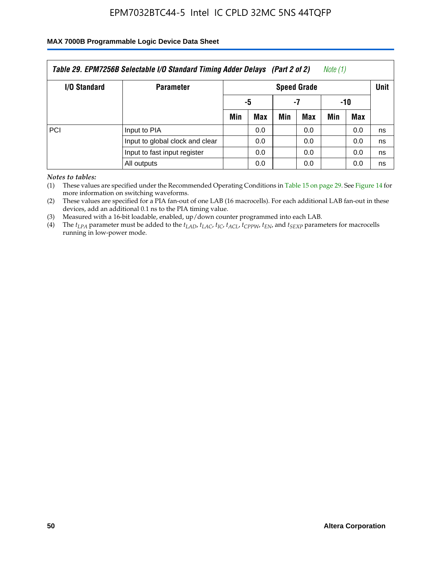### **MAX 7000B Programmable Logic Device Data Sheet**

| Table 29. EPM7256B Selectable I/O Standard Timing Adder Delays (Part 2 of 2)<br>Note (1) |                                 |                            |     |     |     |     |            |    |  |
|------------------------------------------------------------------------------------------|---------------------------------|----------------------------|-----|-----|-----|-----|------------|----|--|
| <b>I/O Standard</b>                                                                      | <b>Parameter</b>                | Unit<br><b>Speed Grade</b> |     |     |     |     |            |    |  |
|                                                                                          |                                 |                            | -5  |     | -7  | -10 |            |    |  |
|                                                                                          |                                 | Min                        | Max | Min | Max | Min | <b>Max</b> |    |  |
| <b>PCI</b>                                                                               | Input to PIA                    |                            | 0.0 |     | 0.0 |     | 0.0        | ns |  |
|                                                                                          | Input to global clock and clear |                            | 0.0 |     | 0.0 |     | 0.0        | ns |  |
|                                                                                          | Input to fast input register    |                            | 0.0 |     | 0.0 |     | 0.0        | ns |  |
|                                                                                          | All outputs                     |                            | 0.0 |     | 0.0 |     | 0.0        | ns |  |

*Notes to tables:*

(1) These values are specified under the Recommended Operating Conditions in Table 15 on page 29. See Figure 14 for more information on switching waveforms.

(2) These values are specified for a PIA fan-out of one LAB (16 macrocells). For each additional LAB fan-out in these devices, add an additional 0.1 ns to the PIA timing value.

(3) Measured with a 16-bit loadable, enabled, up/down counter programmed into each LAB.

(4) The  $t_{LPA}$  parameter must be added to the  $t_{LAP}$ ,  $t_{LAP}$ ,  $t_{LCP}$ ,  $t_{ACL}$ ,  $t_{CPPW}$ ,  $t_{EN}$ , and  $t_{SEXP}$  parameters for macrocells running in low-power mode.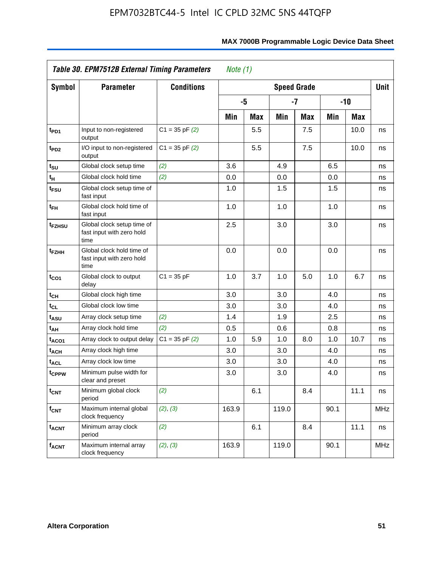|                             | Table 30. EPM7512B External Timing Parameters<br>Note $(1)$     |                    |                            |            |       |     |      |       |            |  |  |
|-----------------------------|-----------------------------------------------------------------|--------------------|----------------------------|------------|-------|-----|------|-------|------------|--|--|
| <b>Symbol</b>               | <b>Parameter</b>                                                | <b>Conditions</b>  | Unit<br><b>Speed Grade</b> |            |       |     |      |       |            |  |  |
|                             |                                                                 |                    |                            | -5         |       | -7  |      | $-10$ |            |  |  |
|                             |                                                                 |                    | Min                        | <b>Max</b> | Min   | Max | Min  | Max   |            |  |  |
| t <sub>PD1</sub>            | Input to non-registered<br>output                               | $C1 = 35$ pF $(2)$ |                            | 5.5        |       | 7.5 |      | 10.0  | ns         |  |  |
| t <sub>PD2</sub>            | I/O input to non-registered<br>output                           | $C1 = 35$ pF $(2)$ |                            | 5.5        |       | 7.5 |      | 10.0  | ns         |  |  |
| t <sub>su</sub>             | Global clock setup time                                         | (2)                | 3.6                        |            | 4.9   |     | 6.5  |       | ns         |  |  |
| $\mathfrak{t}_{\mathsf{H}}$ | Global clock hold time                                          | (2)                | 0.0                        |            | 0.0   |     | 0.0  |       | ns         |  |  |
| t <sub>FSU</sub>            | Global clock setup time of<br>fast input                        |                    | 1.0                        |            | 1.5   |     | 1.5  |       | ns         |  |  |
| $t_{FH}$                    | Global clock hold time of<br>fast input                         |                    | 1.0                        |            | 1.0   |     | 1.0  |       | ns         |  |  |
| t <sub>FZHSU</sub>          | Global clock setup time of<br>fast input with zero hold<br>time |                    | 2.5                        |            | 3.0   |     | 3.0  |       | ns         |  |  |
| t <sub>FZHH</sub>           | Global clock hold time of<br>fast input with zero hold<br>time  |                    | 0.0                        |            | 0.0   |     | 0.0  |       | ns         |  |  |
| $t_{CO1}$                   | Global clock to output<br>delay                                 | $C1 = 35 pF$       | 1.0                        | 3.7        | 1.0   | 5.0 | 1.0  | 6.7   | ns         |  |  |
| $t_{\text{CH}}$             | Global clock high time                                          |                    | 3.0                        |            | 3.0   |     | 4.0  |       | ns         |  |  |
| $t_{CL}$                    | Global clock low time                                           |                    | 3.0                        |            | 3.0   |     | 4.0  |       | ns         |  |  |
| t <sub>ASU</sub>            | Array clock setup time                                          | (2)                | 1.4                        |            | 1.9   |     | 2.5  |       | ns         |  |  |
| t <sub>AH</sub>             | Array clock hold time                                           | (2)                | 0.5                        |            | 0.6   |     | 0.8  |       | ns         |  |  |
| t <sub>ACO1</sub>           | Array clock to output delay                                     | $C1 = 35$ pF $(2)$ | 1.0                        | 5.9        | 1.0   | 8.0 | 1.0  | 10.7  | ns         |  |  |
| t <sub>ACH</sub>            | Array clock high time                                           |                    | 3.0                        |            | 3.0   |     | 4.0  |       | ns         |  |  |
| <b>t<sub>ACL</sub></b>      | Array clock low time                                            |                    | 3.0                        |            | 3.0   |     | 4.0  |       | ns         |  |  |
| tcppw                       | Minimum pulse width for<br>clear and preset                     |                    | 3.0                        |            | 3.0   |     | 4.0  |       | ns         |  |  |
| $t_{\text{CNT}}$            | Minimum global clock<br>period                                  | (2)                |                            | 6.1        |       | 8.4 |      | 11.1  | ns         |  |  |
| $f_{\text{CNT}}$            | Maximum internal global<br>clock frequency                      | (2), (3)           | 163.9                      |            | 119.0 |     | 90.1 |       | <b>MHz</b> |  |  |
| <b>t<sub>ACNT</sub></b>     | Minimum array clock<br>period                                   | (2)                |                            | 6.1        |       | 8.4 |      | 11.1  | ns         |  |  |
| <b>f<sub>ACNT</sub></b>     | Maximum internal array<br>clock frequency                       | (2), (3)           | 163.9                      |            | 119.0 |     | 90.1 |       | <b>MHz</b> |  |  |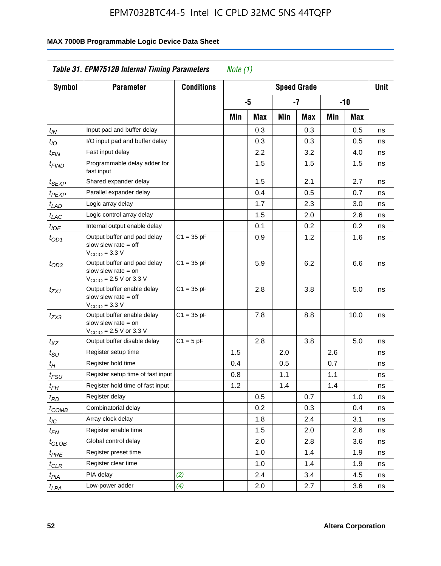|                               | Table 31. EPM7512B Internal Timing Parameters                                                               |                   | Note $(1)$         |     |     |     |     |       |             |
|-------------------------------|-------------------------------------------------------------------------------------------------------------|-------------------|--------------------|-----|-----|-----|-----|-------|-------------|
| Symbol                        | <b>Parameter</b>                                                                                            | <b>Conditions</b> | <b>Speed Grade</b> |     |     |     |     |       | <b>Unit</b> |
|                               |                                                                                                             |                   |                    | -5  |     | -7  |     | $-10$ |             |
|                               |                                                                                                             |                   | Min                | Max | Min | Max | Min | Max   |             |
| $t_{IN}$                      | Input pad and buffer delay                                                                                  |                   |                    | 0.3 |     | 0.3 |     | 0.5   | ns          |
| $t_{IO}$                      | I/O input pad and buffer delay                                                                              |                   |                    | 0.3 |     | 0.3 |     | 0.5   | ns          |
| $t_{\sf FIN}$                 | Fast input delay                                                                                            |                   |                    | 2.2 |     | 3.2 |     | 4.0   | ns          |
| t <sub>FIND</sub>             | Programmable delay adder for<br>fast input                                                                  |                   |                    | 1.5 |     | 1.5 |     | 1.5   | ns          |
| t <sub>SEXP</sub>             | Shared expander delay                                                                                       |                   |                    | 1.5 |     | 2.1 |     | 2.7   | ns          |
| t <sub>PEXP</sub>             | Parallel expander delay                                                                                     |                   |                    | 0.4 |     | 0.5 |     | 0.7   | ns          |
| t <sub>LAD</sub>              | Logic array delay                                                                                           |                   |                    | 1.7 |     | 2.3 |     | 3.0   | ns          |
| $t_{LAC}$                     | Logic control array delay                                                                                   |                   |                    | 1.5 |     | 2.0 |     | 2.6   | ns          |
| $t_{IOE}$                     | Internal output enable delay                                                                                |                   |                    | 0.1 |     | 0.2 |     | 0.2   | ns          |
| $t_{OD1}$                     | Output buffer and pad delay<br>slow slew rate $=$ off<br>$V_{\text{CCIO}} = 3.3 V$                          | $C1 = 35 pF$      |                    | 0.9 |     | 1.2 |     | 1.6   | ns          |
| $t_{OD3}$                     | Output buffer and pad delay<br>slow slew rate $=$ on<br>$V_{\text{CCIO}} = 2.5 \text{ V or } 3.3 \text{ V}$ | $C1 = 35 pF$      |                    | 5.9 |     | 6.2 |     | 6.6   | ns          |
| tzx1                          | Output buffer enable delay<br>slow slew rate $=$ off<br>$V_{\text{CCIO}} = 3.3 \text{ V}$                   | $C1 = 35 pF$      |                    | 2.8 |     | 3.8 |     | 5.0   | ns          |
| t <sub>ZX3</sub>              | Output buffer enable delay<br>slow slew rate $=$ on<br>$V_{\text{CCIO}} = 2.5 \text{ V or } 3.3 \text{ V}$  | $C1 = 35 pF$      |                    | 7.8 |     | 8.8 |     | 10.0  | ns          |
| $t_{\mathsf{XZ}}$             | Output buffer disable delay                                                                                 | $C1 = 5pF$        |                    | 2.8 |     | 3.8 |     | 5.0   | ns          |
| $t_{\scriptstyle\text{SU}}$   | Register setup time                                                                                         |                   | 1.5                |     | 2.0 |     | 2.6 |       | ns          |
| $t_H$                         | Register hold time                                                                                          |                   | 0.4                |     | 0.5 |     | 0.7 |       | ns          |
| $t_{FSU}$                     | Register setup time of fast input                                                                           |                   | 0.8                |     | 1.1 |     | 1.1 |       | ns          |
| $t_{FH}$                      | Register hold time of fast input                                                                            |                   | 1.2                |     | 1.4 |     | 1.4 |       | ns          |
| $t_{RD}$                      | Register delay                                                                                              |                   |                    | 0.5 |     | 0.7 |     | 1.0   | ns          |
| $t_{\rm COMB}$                | Combinatorial delay                                                                                         |                   |                    | 0.2 |     | 0.3 |     | 0.4   | ns          |
| $t_{\mathcal{IC}}$            | Array clock delay                                                                                           |                   |                    | 1.8 |     | 2.4 |     | 3.1   | ns          |
| $t_{EN}$                      | Register enable time                                                                                        |                   |                    | 1.5 |     | 2.0 |     | 2.6   | ns          |
| $t_{\scriptstyle\text{GLOB}}$ | Global control delay                                                                                        |                   |                    | 2.0 |     | 2.8 |     | 3.6   | ns          |
| $t_{PRE}$                     | Register preset time                                                                                        |                   |                    | 1.0 |     | 1.4 |     | 1.9   | ns          |
| ${}^t\rm{CLR}$                | Register clear time                                                                                         |                   |                    | 1.0 |     | 1.4 |     | 1.9   | ns          |
| $t_{PIA}$                     | PIA delay                                                                                                   | (2)               |                    | 2.4 |     | 3.4 |     | 4.5   | ns          |
| $t_{LPA}$                     | Low-power adder                                                                                             | (4)               |                    | 2.0 |     | 2.7 |     | 3.6   | ns          |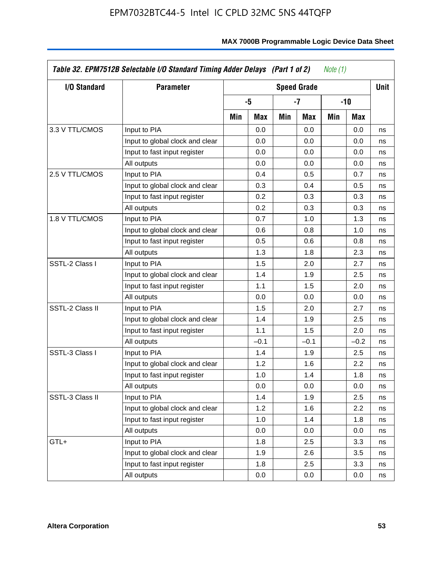| I/O Standard    | <b>Parameter</b>                | <b>Speed Grade</b> |                  |     |        |     |        |    |  |
|-----------------|---------------------------------|--------------------|------------------|-----|--------|-----|--------|----|--|
|                 |                                 |                    | -5<br>Min<br>Max |     | -7     |     | -10    |    |  |
|                 |                                 |                    |                  | Min | Max    | Min | Max    |    |  |
| 3.3 V TTL/CMOS  | Input to PIA                    |                    | 0.0              |     | 0.0    |     | 0.0    | ns |  |
|                 | Input to global clock and clear |                    | 0.0              |     | 0.0    |     | 0.0    | ns |  |
|                 | Input to fast input register    |                    | 0.0              |     | 0.0    |     | 0.0    | ns |  |
|                 | All outputs                     |                    | 0.0              |     | 0.0    |     | 0.0    | ns |  |
| 2.5 V TTL/CMOS  | Input to PIA                    |                    | 0.4              |     | 0.5    |     | 0.7    | ns |  |
|                 | Input to global clock and clear |                    | 0.3              |     | 0.4    |     | 0.5    | ns |  |
|                 | Input to fast input register    |                    | 0.2              |     | 0.3    |     | 0.3    | ns |  |
|                 | All outputs                     |                    | 0.2              |     | 0.3    |     | 0.3    | ns |  |
| 1.8 V TTL/CMOS  | Input to PIA                    |                    | 0.7              |     | 1.0    |     | 1.3    | ns |  |
|                 | Input to global clock and clear |                    | 0.6              |     | 0.8    |     | 1.0    | ns |  |
|                 | Input to fast input register    |                    | 0.5              |     | 0.6    |     | 0.8    | ns |  |
|                 | All outputs                     |                    | 1.3              |     | 1.8    |     | 2.3    | ns |  |
| SSTL-2 Class I  | Input to PIA                    |                    | 1.5              |     | 2.0    |     | 2.7    | ns |  |
|                 | Input to global clock and clear |                    | 1.4              |     | 1.9    |     | 2.5    | ns |  |
|                 | Input to fast input register    |                    | 1.1              |     | 1.5    |     | 2.0    | ns |  |
|                 | All outputs                     |                    | 0.0              |     | 0.0    |     | 0.0    | ns |  |
| SSTL-2 Class II | Input to PIA                    |                    | 1.5              |     | 2.0    |     | 2.7    | ns |  |
|                 | Input to global clock and clear |                    | 1.4              |     | 1.9    |     | 2.5    | ns |  |
|                 | Input to fast input register    |                    | 1.1              |     | 1.5    |     | 2.0    | ns |  |
|                 | All outputs                     |                    | $-0.1$           |     | $-0.1$ |     | $-0.2$ | ns |  |
| SSTL-3 Class I  | Input to PIA                    |                    | 1.4              |     | 1.9    |     | 2.5    | ns |  |
|                 | Input to global clock and clear |                    | 1.2              |     | 1.6    |     | 2.2    | ns |  |
|                 | Input to fast input register    |                    | 1.0              |     | 1.4    |     | 1.8    | ns |  |
|                 | All outputs                     |                    | 0.0              |     | 0.0    |     | 0.0    | ns |  |
| SSTL-3 Class II | Input to PIA                    |                    | 1.4              |     | 1.9    |     | 2.5    | ns |  |
|                 | Input to global clock and clear |                    | 1.2              |     | 1.6    |     | 2.2    | ns |  |
|                 | Input to fast input register    |                    | 1.0              |     | 1.4    |     | 1.8    | ns |  |
|                 | All outputs                     |                    | 0.0              |     | 0.0    |     | 0.0    | ns |  |
| GTL+            | Input to PIA                    |                    | 1.8              |     | 2.5    |     | 3.3    | ns |  |
|                 | Input to global clock and clear |                    | 1.9              |     | 2.6    |     | 3.5    | ns |  |
|                 | Input to fast input register    |                    | 1.8              |     | 2.5    |     | 3.3    | ns |  |
|                 | All outputs                     |                    | 0.0              |     | 0.0    |     | 0.0    | ns |  |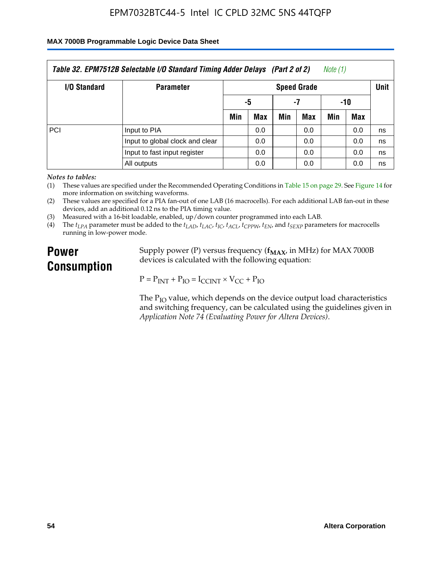#### **MAX 7000B Programmable Logic Device Data Sheet**

| Table 32. EPM7512B Selectable I/O Standard Timing Adder Delays (Part 2 of 2)<br>Note (1) |                                 |                                   |            |     |     |     |            |    |  |
|------------------------------------------------------------------------------------------|---------------------------------|-----------------------------------|------------|-----|-----|-----|------------|----|--|
| <b>I/O Standard</b>                                                                      | <b>Parameter</b>                | <b>Unit</b><br><b>Speed Grade</b> |            |     |     |     |            |    |  |
|                                                                                          |                                 |                                   | -5         |     | -7  | -10 |            |    |  |
|                                                                                          |                                 | Min                               | <b>Max</b> | Min | Max | Min | <b>Max</b> |    |  |
| <b>PCI</b>                                                                               | Input to PIA                    |                                   | 0.0        |     | 0.0 |     | 0.0        | ns |  |
|                                                                                          | Input to global clock and clear |                                   | 0.0        |     | 0.0 |     | 0.0        | ns |  |
|                                                                                          | Input to fast input register    |                                   | 0.0        |     | 0.0 |     | 0.0        | ns |  |
|                                                                                          | All outputs                     |                                   | 0.0        |     | 0.0 |     | 0.0        | ns |  |

*Notes to tables:*

(1) These values are specified under the Recommended Operating Conditions in Table 15 on page 29. See Figure 14 for more information on switching waveforms.

(2) These values are specified for a PIA fan-out of one LAB (16 macrocells). For each additional LAB fan-out in these devices, add an additional 0.12 ns to the PIA timing value.

(3) Measured with a 16-bit loadable, enabled, up/down counter programmed into each LAB.

(4) The  $t_{LPA}$  parameter must be added to the  $t_{LAD}$ ,  $t_{LAC}$ ,  $t_{IC}$ ,  $t_{ACL}$ ,  $t_{CPPW}$ ,  $t_{EN}$ , and  $t_{SEXP}$  parameters for macrocells running in low-power mode.

# **Power Consumption**

Supply power (P) versus frequency ( $f_{MAX}$ , in MHz) for MAX 7000B devices is calculated with the following equation:

 $P = P_{INT} + P_{IO} = I_{CCINT} \times V_{CC} + P_{IO}$ 

The  $P_{IO}$  value, which depends on the device output load characteristics and switching frequency, can be calculated using the guidelines given in *Application Note 74 (Evaluating Power for Altera Devices)*.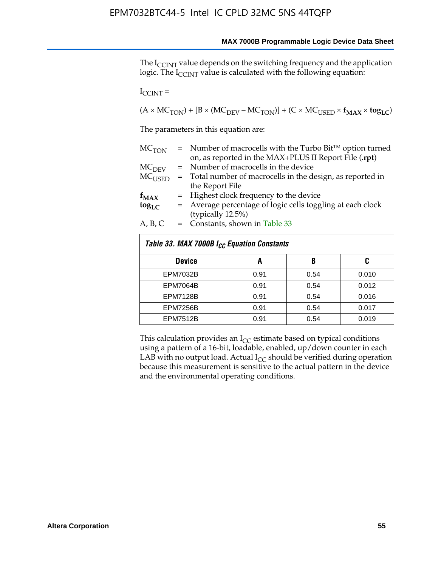The I<sub>CCINT</sub> value depends on the switching frequency and the application logic. The  $I_{\text{CCINT}}$  value is calculated with the following equation:

 $I_{\text{CCINT}} =$ 

 $(A \times MC_{TON}) + [B \times (MC_{DEV} - MC_{TON})] + (C \times MC_{USED} \times f_{MAX} \times to_{LC})$ 

The parameters in this equation are:

| MC <sub>TON</sub> | $=$ Number of macrocells with the Turbo Bit <sup>TM</sup> option turned |
|-------------------|-------------------------------------------------------------------------|
|                   | on, as reported in the MAX+PLUS II Report File (.rpt)                   |
| MC <sub>DFV</sub> | = Number of macrocells in the device                                    |
| $MC_{LISED}$      | = Total number of macrocells in the design, as reported in              |
|                   | the Report File                                                         |
| $f_{MAX}$         | = Highest clock frequency to the device                                 |
| $tog_{LC}$        | = Average percentage of logic cells toggling at each clock              |
|                   | (typically 12.5%)                                                       |
| A, B, C           | $=$ Constants, shown in Table 33                                        |

| Table 33. MAX 7000B I <sub>CC</sub> Equation Constants |      |      |       |  |  |  |  |  |  |
|--------------------------------------------------------|------|------|-------|--|--|--|--|--|--|
| <b>Device</b>                                          | A    | B    | C     |  |  |  |  |  |  |
| <b>EPM7032B</b>                                        | 0.91 | 0.54 | 0.010 |  |  |  |  |  |  |
| <b>EPM7064B</b>                                        | 0.91 | 0.54 | 0.012 |  |  |  |  |  |  |
| <b>EPM7128B</b>                                        | 0.91 | 0.54 | 0.016 |  |  |  |  |  |  |
| <b>EPM7256B</b>                                        | 0.91 | 0.54 | 0.017 |  |  |  |  |  |  |
| <b>EPM7512B</b>                                        | 0.91 | 0.54 | 0.019 |  |  |  |  |  |  |

This calculation provides an  $I_{CC}$  estimate based on typical conditions using a pattern of a 16-bit, loadable, enabled, up/down counter in each LAB with no output load. Actual  $I_{CC}$  should be verified during operation because this measurement is sensitive to the actual pattern in the device and the environmental operating conditions.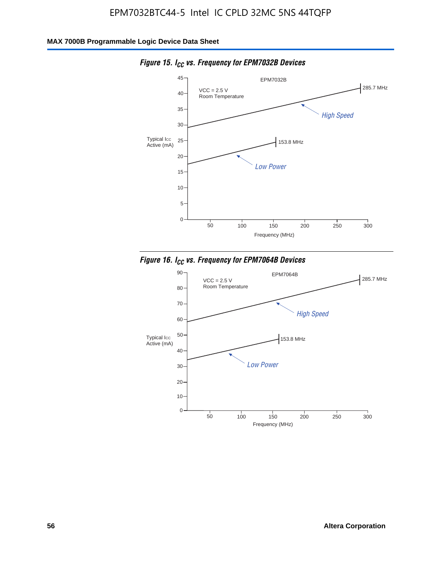

*Figure 15. ICC vs. Frequency for EPM7032B Devices*



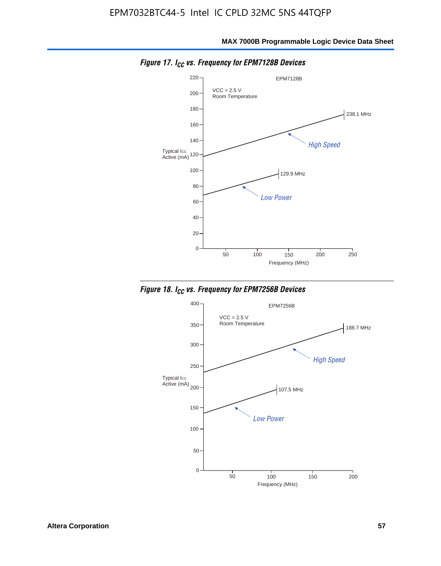**MAX 7000B Programmable Logic Device Data Sheet**



*Figure 17. ICC vs. Frequency for EPM7128B Devices*



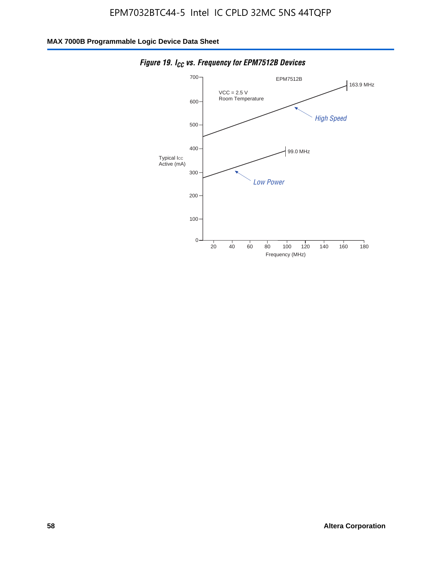

*Figure 19. I<sub>CC</sub> vs. Frequency for EPM7512B Devices*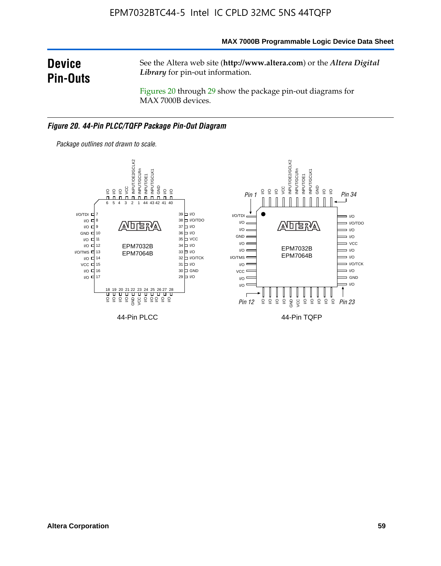**MAX 7000B Programmable Logic Device Data Sheet**

# **Device Pin-Outs**

See the Altera web site (**http://www.altera.com**) or the *Altera Digital Library* for pin-out information.

Figures 20 through 29 show the package pin-out diagrams for MAX 7000B devices.

#### *Figure 20. 44-Pin PLCC/TQFP Package Pin-Out Diagram*

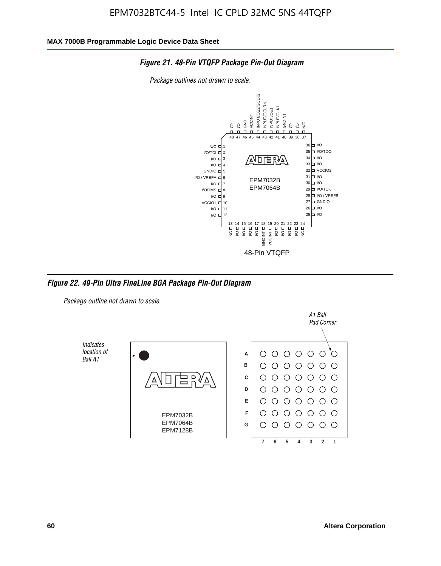#### *Figure 21. 48-Pin VTQFP Package Pin-Out Diagram*

*Package outlines not drawn to scale.*



*Figure 22. 49-Pin Ultra FineLine BGA Package Pin-Out Diagram*

*Package outline not drawn to scale.*

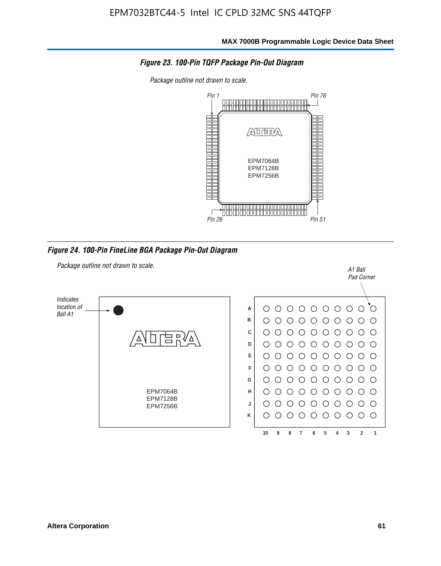

*Package outline not drawn to scale.*



*Figure 24. 100-Pin FineLine BGA Package Pin-Out Diagram*

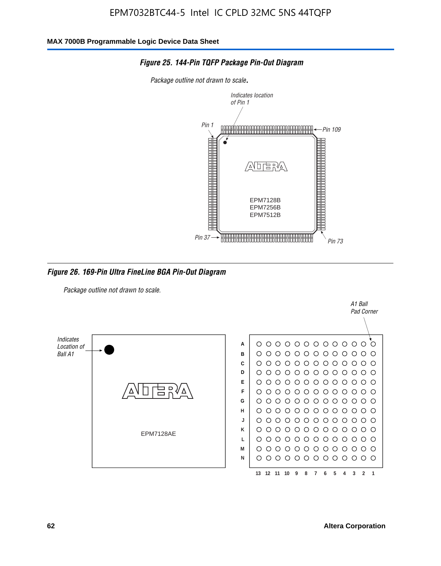

#### *Figure 25. 144-Pin TQFP Package Pin-Out Diagram*

*Package outline not drawn to scale*.

*Figure 26. 169-Pin Ultra FineLine BGA Pin-Out Diagram*

*Package outline not drawn to scale.*



A1 Ball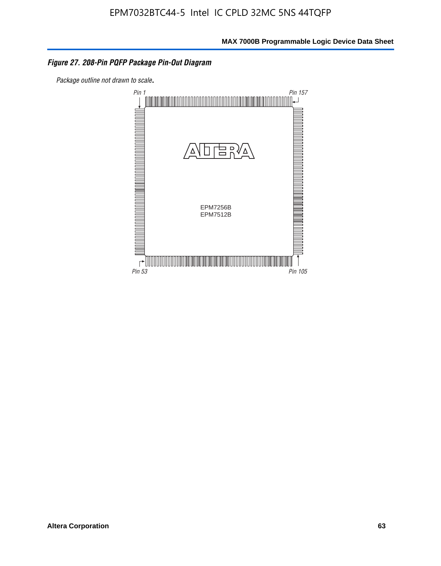#### *Figure 27. 208-Pin PQFP Package Pin-Out Diagram*

*Package outline not drawn to scale*.

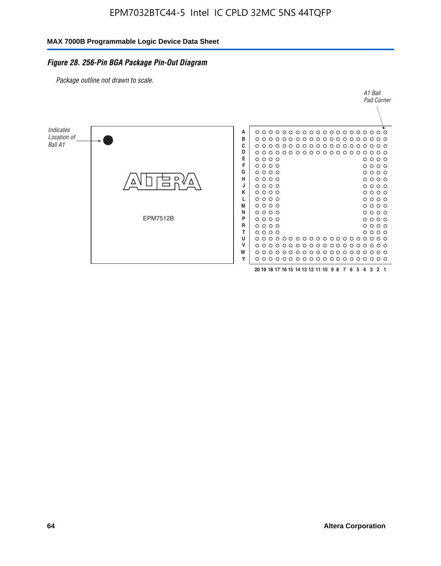#### *Figure 28. 256-Pin BGA Package Pin-Out Diagram*

*Package outline not drawn to scale.*

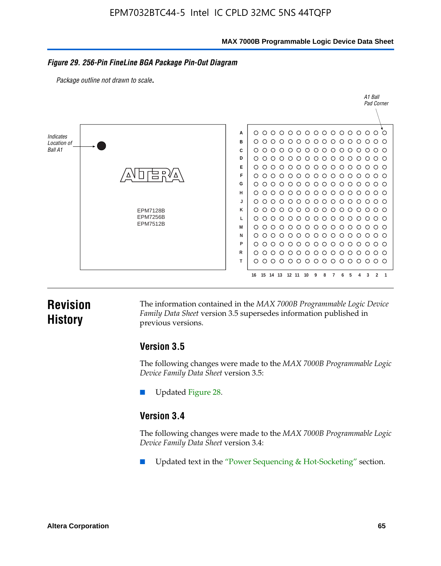**MAX 7000B Programmable Logic Device Data Sheet**

#### *Figure 29. 256-Pin FineLine BGA Package Pin-Out Diagram*

*Package outline not drawn to scale*.



# **Revision History**

The information contained in the *MAX 7000B Programmable Logic Device Family Data Sheet* version 3.5 supersedes information published in previous versions.

### **Version 3.5**

The following changes were made to the *MAX 7000B Programmable Logic Device Family Data Sheet* version 3.5:

Updated Figure 28.

### **Version 3.4**

The following changes were made to the *MAX 7000B Programmable Logic Device Family Data Sheet* version 3.4:

Updated text in the "Power Sequencing & Hot-Socketing" section.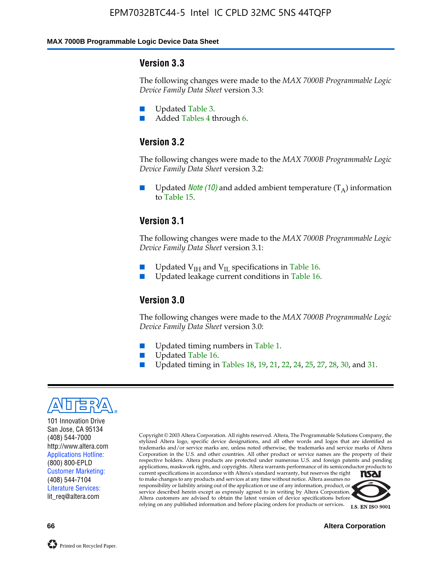#### **MAX 7000B Programmable Logic Device Data Sheet**

#### **Version 3.3**

The following changes were made to the *MAX 7000B Programmable Logic Device Family Data Sheet* version 3.3:

- Updated Table 3.
- Added Tables 4 through 6.

### **Version 3.2**

The following changes were made to the *MAX 7000B Programmable Logic Device Family Data Sheet* version 3.2:

Updated *Note* (10) and added ambient temperature  $(T_A)$  information to Table 15.

### **Version 3.1**

The following changes were made to the *MAX 7000B Programmable Logic Device Family Data Sheet* version 3.1:

- Updated  $V_{\text{IH}}$  and  $V_{\text{II}}$  specifications in Table 16.
- Updated leakage current conditions in Table 16.

### **Version 3.0**

The following changes were made to the *MAX 7000B Programmable Logic Device Family Data Sheet* version 3.0:

- Updated timing numbers in Table 1.
- Updated Table 16.
- Updated timing in Tables 18, 19, 21, 22, 24, 25, 27, 28, 30, and 31.



101 Innovation Drive San Jose, CA 95134 (408) 544-7000 http://www.altera.com Applications Hotline: (800) 800-EPLD Customer Marketing: (408) 544-7104 Literature Services: lit\_req@altera.com

Copyright © 2003 Altera Corporation. All rights reserved. Altera, The Programmable Solutions Company, the stylized Altera logo, specific device designations, and all other words and logos that are identified as trademarks and/or service marks are, unless noted otherwise, the trademarks and service marks of Altera Corporation in the U.S. and other countries. All other product or service names are the property of their respective holders. Altera products are protected under numerous U.S. and foreign patents and pending applications, maskwork rights, and copyrights. Altera warrants performance of its semiconductor products to current specifications in accordance with Altera's standard warranty, but reserves the right **TSAI** to make changes to any products and services at any time without notice. Altera assumes no responsibility or liability arising out of the application or use of any information, product, or service described herein except as expressly agreed to in writing by Altera Corporation.

Altera customers are advised to obtain the latest version of device specifications before relying on any published information and before placing orders for products or services.